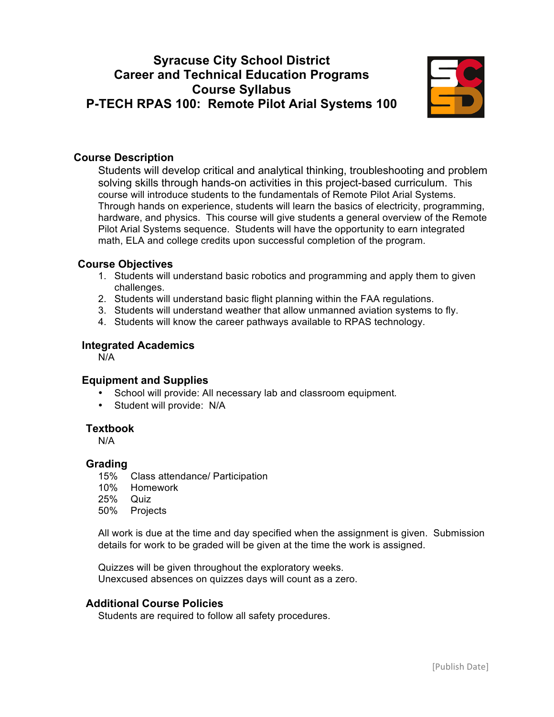# **Syracuse City School District Career and Technical Education Programs Course Syllabus P-TECH RPAS 100: Remote Pilot Arial Systems 100**



## **Course Description**

Students will develop critical and analytical thinking, troubleshooting and problem solving skills through hands-on activities in this project-based curriculum. This course will introduce students to the fundamentals of Remote Pilot Arial Systems. Through hands on experience, students will learn the basics of electricity, programming, hardware, and physics. This course will give students a general overview of the Remote Pilot Arial Systems sequence. Students will have the opportunity to earn integrated math, ELA and college credits upon successful completion of the program.

## **Course Objectives**

- 1. Students will understand basic robotics and programming and apply them to given challenges.
- 2. Students will understand basic flight planning within the FAA regulations.
- 3. Students will understand weather that allow unmanned aviation systems to fly.
- 4. Students will know the career pathways available to RPAS technology.

## **Integrated Academics**

N/A

## **Equipment and Supplies**

- School will provide: All necessary lab and classroom equipment*.*
- Student will provide: N/A

#### **Textbook**

N/A

#### **Grading**

- 15% Class attendance/ Participation
- 10% Homework
- 25% Quiz
- 50% Projects

All work is due at the time and day specified when the assignment is given. Submission details for work to be graded will be given at the time the work is assigned.

Quizzes will be given throughout the exploratory weeks. Unexcused absences on quizzes days will count as a zero.

## **Additional Course Policies**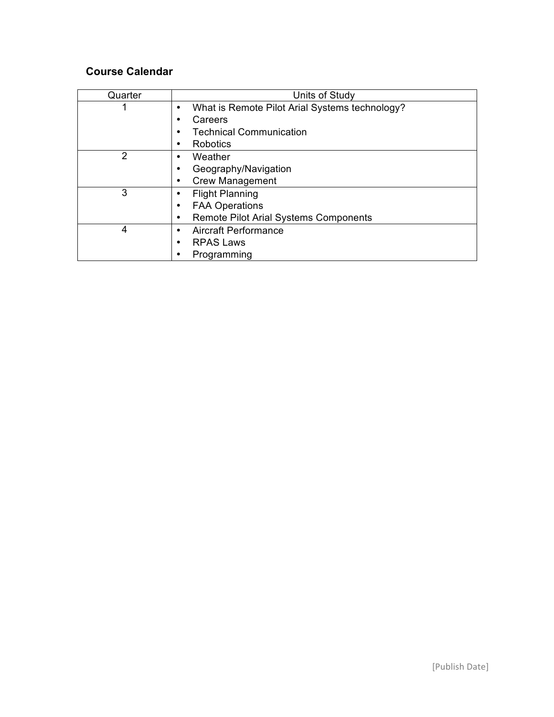| Quarter | Units of Study                                 |
|---------|------------------------------------------------|
| 1       | What is Remote Pilot Arial Systems technology? |
|         | Careers                                        |
|         | <b>Technical Communication</b>                 |
|         | <b>Robotics</b>                                |
| 2       | Weather                                        |
|         | Geography/Navigation                           |
|         | <b>Crew Management</b>                         |
| 3       | <b>Flight Planning</b>                         |
|         | <b>FAA Operations</b>                          |
|         | <b>Remote Pilot Arial Systems Components</b>   |
| 4       | <b>Aircraft Performance</b><br>٠               |
|         | <b>RPAS Laws</b>                               |
|         | Programming                                    |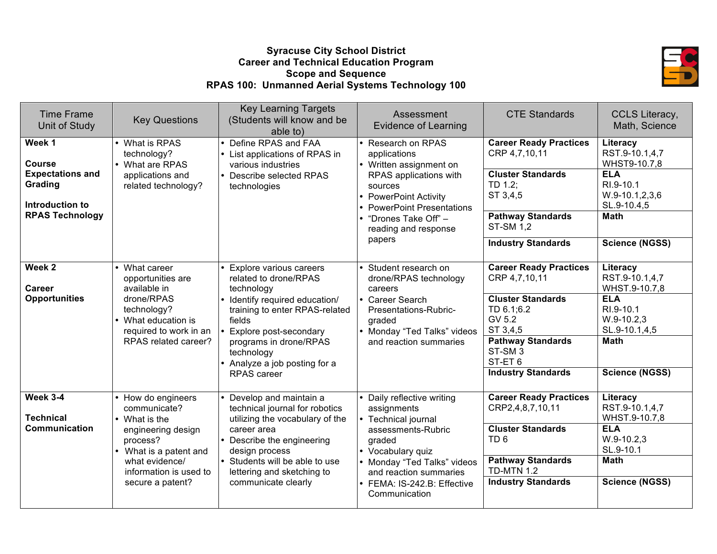#### **Syracuse City School District Career and Technical Education Program Scope and Sequence RPAS 100: Unmanned Aerial Systems Technology 100**



| <b>Time Frame</b><br>Unit of Study                                                                  | <b>Key Questions</b>                                                                                                                                                                     | <b>Key Learning Targets</b><br>(Students will know and be<br>able to)                                                                                                                                                                                              | Assessment<br><b>Evidence of Learning</b>                                                                                                                                                                                    | <b>CTE Standards</b>                                                                                                                                                                                                | CCLS Literacy,<br>Math, Science                                                                                                                     |
|-----------------------------------------------------------------------------------------------------|------------------------------------------------------------------------------------------------------------------------------------------------------------------------------------------|--------------------------------------------------------------------------------------------------------------------------------------------------------------------------------------------------------------------------------------------------------------------|------------------------------------------------------------------------------------------------------------------------------------------------------------------------------------------------------------------------------|---------------------------------------------------------------------------------------------------------------------------------------------------------------------------------------------------------------------|-----------------------------------------------------------------------------------------------------------------------------------------------------|
| Week 1<br>Course<br><b>Expectations and</b><br>Grading<br>Introduction to<br><b>RPAS Technology</b> | • What is RPAS<br>technology?<br>• What are RPAS<br>applications and<br>related technology?                                                                                              | • Define RPAS and FAA<br>• List applications of RPAS in<br>various industries<br>• Describe selected RPAS<br>technologies                                                                                                                                          | • Research on RPAS<br>applications<br>• Written assignment on<br>RPAS applications with<br>sources<br>• PowerPoint Activity<br><b>PowerPoint Presentations</b><br>"Drones Take Off" -<br>reading and response<br>papers      | <b>Career Ready Practices</b><br>CRP 4,7,10,11<br><b>Cluster Standards</b><br>TD 1.2;<br>ST 3,4,5<br><b>Pathway Standards</b><br><b>ST-SM 1.2</b><br><b>Industry Standards</b>                                      | Literacy<br>RST.9-10.1,4,7<br>WHST9-10.7,8<br><b>ELA</b><br>RI.9-10.1<br>$W.9-10.1, 2, 3, 6$<br>SL.9-10.4,5<br><b>Math</b><br><b>Science (NGSS)</b> |
| Week 2<br>Career<br><b>Opportunities</b>                                                            | What career<br>opportunities are<br>available in<br>drone/RPAS<br>technology?<br>• What education is<br>required to work in an<br>RPAS related career?                                   | • Explore various careers<br>related to drone/RPAS<br>technology<br>• Identify required education/<br>training to enter RPAS-related<br>fields<br>• Explore post-secondary<br>programs in drone/RPAS<br>technology<br>• Analyze a job posting for a<br>RPAS career | • Student research on<br>drone/RPAS technology<br>careers<br>• Career Search<br>Presentations-Rubric-<br>graded<br>• Monday "Ted Talks" videos<br>and reaction summaries                                                     | <b>Career Ready Practices</b><br>CRP 4,7,10,11<br><b>Cluster Standards</b><br>TD 6.1;6.2<br>GV 5.2<br>ST 3,4,5<br><b>Pathway Standards</b><br>ST-SM <sub>3</sub><br>ST-ET <sub>6</sub><br><b>Industry Standards</b> | Literacy<br>RST.9-10.1,4,7<br>WHST.9-10.7,8<br><b>ELA</b><br>RI.9-10.1<br>$W.9-10.2.3$<br>SL.9-10.1,4,5<br><b>Math</b><br><b>Science (NGSS)</b>     |
| Week 3-4<br><b>Technical</b><br>Communication                                                       | How do engineers<br>communicate?<br>• What is the<br>engineering design<br>process?<br>What is a patent and<br>$\bullet$<br>what evidence/<br>information is used to<br>secure a patent? | • Develop and maintain a<br>technical journal for robotics<br>utilizing the vocabulary of the<br>career area<br>• Describe the engineering<br>design process<br>• Students will be able to use<br>lettering and sketching to<br>communicate clearly                | • Daily reflective writing<br>assignments<br>• Technical journal<br>assessments-Rubric<br>graded<br>Vocabulary quiz<br>• Monday "Ted Talks" videos<br>and reaction summaries<br>• FEMA: IS-242.B: Effective<br>Communication | <b>Career Ready Practices</b><br>CRP2,4,8,7,10,11<br><b>Cluster Standards</b><br>TD <sub>6</sub><br><b>Pathway Standards</b><br><b>TD-MTN 1.2</b><br><b>Industry Standards</b>                                      | Literacy<br>RST.9-10.1,4,7<br>WHST.9-10.7,8<br><b>ELA</b><br>$W.9-10.2,3$<br>SL.9-10.1<br><b>Math</b><br><b>Science (NGSS)</b>                      |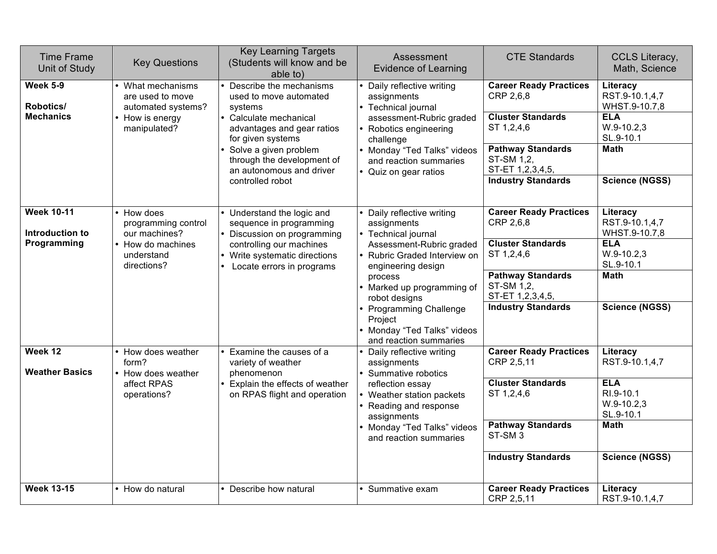| <b>Time Frame</b><br>Unit of Study                  | <b>Key Questions</b>                                                                               | <b>Key Learning Targets</b><br>(Students will know and be<br>able to)                                                                                                                                                                              | Assessment<br><b>Evidence of Learning</b>                                                                                                                                                                                                                                                                  | <b>CTE Standards</b>                                                                                                                                                            | CCLS Literacy,<br>Math, Science                                                                                                |
|-----------------------------------------------------|----------------------------------------------------------------------------------------------------|----------------------------------------------------------------------------------------------------------------------------------------------------------------------------------------------------------------------------------------------------|------------------------------------------------------------------------------------------------------------------------------------------------------------------------------------------------------------------------------------------------------------------------------------------------------------|---------------------------------------------------------------------------------------------------------------------------------------------------------------------------------|--------------------------------------------------------------------------------------------------------------------------------|
| <b>Week 5-9</b><br>Robotics/<br><b>Mechanics</b>    | What mechanisms<br>are used to move<br>automated systems?<br>How is energy<br>manipulated?         | Describe the mechanisms<br>used to move automated<br>systems<br>• Calculate mechanical<br>advantages and gear ratios<br>for given systems<br>• Solve a given problem<br>through the development of<br>an autonomous and driver<br>controlled robot | Daily reflective writing<br>assignments<br>• Technical journal<br>assessment-Rubric graded<br>Robotics engineering<br>challenge<br>• Monday "Ted Talks" videos<br>and reaction summaries<br>• Quiz on gear ratios                                                                                          | <b>Career Ready Practices</b><br>CRP 2,6,8<br><b>Cluster Standards</b><br>ST 1,2,4,6<br><b>Pathway Standards</b><br>ST-SM 1,2,<br>ST-ET 1,2,3,4,5,<br><b>Industry Standards</b> | Literacy<br>RST.9-10.1,4,7<br>WHST.9-10.7,8<br><b>ELA</b><br>$W.9-10.2,3$<br>SL.9-10.1<br><b>Math</b><br><b>Science (NGSS)</b> |
| <b>Week 10-11</b><br>Introduction to<br>Programming | How does<br>programming control<br>our machines?<br>• How do machines<br>understand<br>directions? | • Understand the logic and<br>sequence in programming<br>Discussion on programming<br>controlling our machines<br>• Write systematic directions<br>• Locate errors in programs                                                                     | Daily reflective writing<br>assignments<br>• Technical journal<br>Assessment-Rubric graded<br>Rubric Graded Interview on<br>engineering design<br>process<br>• Marked up programming of<br>robot designs<br><b>Programming Challenge</b><br>Project<br>Monday "Ted Talks" videos<br>and reaction summaries | <b>Career Ready Practices</b><br>CRP 2,6,8<br><b>Cluster Standards</b><br>ST 1,2,4,6<br><b>Pathway Standards</b><br>ST-SM 1,2,<br>ST-ET 1,2,3,4,5,<br><b>Industry Standards</b> | Literacy<br>RST.9-10.1,4,7<br>WHST.9-10.7,8<br><b>ELA</b><br>$W.9-10.2,3$<br>SL.9-10.1<br><b>Math</b><br><b>Science (NGSS)</b> |
| Week 12<br><b>Weather Basics</b>                    | How does weather<br>form?<br>How does weather<br>affect RPAS<br>operations?                        | Examine the causes of a<br>variety of weather<br>phenomenon<br>• Explain the effects of weather<br>on RPAS flight and operation                                                                                                                    | Daily reflective writing<br>assignments<br>• Summative robotics<br>reflection essay<br>Weather station packets<br>Reading and response<br>assignments<br>Monday "Ted Talks" videos<br>and reaction summaries                                                                                               | <b>Career Ready Practices</b><br>CRP 2,5,11<br><b>Cluster Standards</b><br>ST 1,2,4,6<br><b>Pathway Standards</b><br>ST-SM <sub>3</sub><br><b>Industry Standards</b>            | Literacy<br>RST.9-10.1,4,7<br><b>ELA</b><br>RI.9-10.1<br>$W.9-10.2,3$<br>SL.9-10.1<br><b>Math</b><br><b>Science (NGSS)</b>     |
| <b>Week 13-15</b>                                   | How do natural                                                                                     | Describe how natural                                                                                                                                                                                                                               | • Summative exam                                                                                                                                                                                                                                                                                           | <b>Career Ready Practices</b><br>CRP 2,5,11                                                                                                                                     | Literacy<br>RST.9-10.1,4,7                                                                                                     |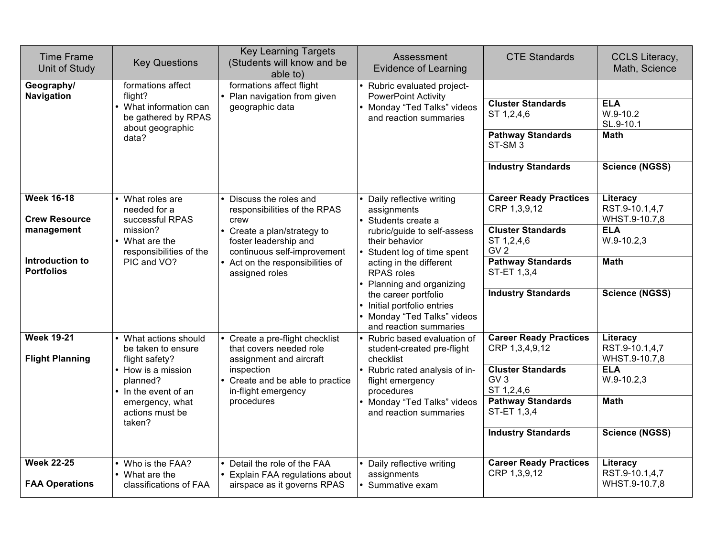| <b>Time Frame</b><br>Unit of Study                                                              | <b>Key Questions</b>                                                                                                                                                    | <b>Key Learning Targets</b><br>(Students will know and be<br>able to)                                                                                                                                  | Assessment<br><b>Evidence of Learning</b>                                                                                                                                                                                                                                                                                           | <b>CTE Standards</b>                                                                                                                                                                 | <b>CCLS Literacy,</b><br>Math, Science                                                                            |
|-------------------------------------------------------------------------------------------------|-------------------------------------------------------------------------------------------------------------------------------------------------------------------------|--------------------------------------------------------------------------------------------------------------------------------------------------------------------------------------------------------|-------------------------------------------------------------------------------------------------------------------------------------------------------------------------------------------------------------------------------------------------------------------------------------------------------------------------------------|--------------------------------------------------------------------------------------------------------------------------------------------------------------------------------------|-------------------------------------------------------------------------------------------------------------------|
| Geography/<br>Navigation                                                                        | formations affect<br>flight?<br>• What information can<br>be gathered by RPAS<br>about geographic<br>data?                                                              | formations affect flight<br>Plan navigation from given<br>geographic data                                                                                                                              | • Rubric evaluated project-<br><b>PowerPoint Activity</b><br>Monday "Ted Talks" videos<br>and reaction summaries                                                                                                                                                                                                                    | <b>Cluster Standards</b><br>ST 1,2,4,6<br><b>Pathway Standards</b><br>ST-SM <sub>3</sub><br><b>Industry Standards</b>                                                                | <b>ELA</b><br>$W.9-10.2$<br>SL.9-10.1<br><b>Math</b><br><b>Science (NGSS)</b>                                     |
| <b>Week 16-18</b><br><b>Crew Resource</b><br>management<br>Introduction to<br><b>Portfolios</b> | • What roles are<br>needed for a<br>successful RPAS<br>mission?<br>• What are the<br>responsibilities of the<br>PIC and VO?                                             | Discuss the roles and<br>responsibilities of the RPAS<br>crew<br>Create a plan/strategy to<br>foster leadership and<br>continuous self-improvement<br>Act on the responsibilities of<br>assigned roles | Daily reflective writing<br>assignments<br>• Students create a<br>rubric/guide to self-assess<br>their behavior<br>Student log of time spent<br>acting in the different<br><b>RPAS</b> roles<br>Planning and organizing<br>the career portfolio<br>Initial portfolio entries<br>Monday "Ted Talks" videos<br>and reaction summaries | <b>Career Ready Practices</b><br>CRP 1,3,9,12<br><b>Cluster Standards</b><br>ST 1,2,4,6<br>GV <sub>2</sub><br><b>Pathway Standards</b><br>ST-ET 1,3,4<br><b>Industry Standards</b>   | Literacy<br>RST.9-10.1,4,7<br>WHST.9-10.7,8<br><b>ELA</b><br>W.9-10.2,3<br><b>Math</b><br><b>Science (NGSS)</b>   |
| <b>Week 19-21</b><br><b>Flight Planning</b>                                                     | • What actions should<br>be taken to ensure<br>flight safety?<br>• How is a mission<br>planned?<br>• In the event of an<br>emergency, what<br>actions must be<br>taken? | Create a pre-flight checklist<br>that covers needed role<br>assignment and aircraft<br>inspection<br>Create and be able to practice<br>in-flight emergency<br>procedures                               | Rubric based evaluation of<br>student-created pre-flight<br>checklist<br>Rubric rated analysis of in-<br>flight emergency<br>procedures<br>Monday "Ted Talks" videos<br>and reaction summaries                                                                                                                                      | <b>Career Ready Practices</b><br>CRP 1,3,4,9,12<br><b>Cluster Standards</b><br>GV <sub>3</sub><br>ST 1,2,4,6<br><b>Pathway Standards</b><br>ST-ET 1,3,4<br><b>Industry Standards</b> | Literacy<br>RST.9-10.1,4,7<br>WHST.9-10.7,8<br><b>ELA</b><br>$W.9-10.2,3$<br><b>Math</b><br><b>Science (NGSS)</b> |
| <b>Week 22-25</b><br><b>FAA Operations</b>                                                      | Who is the FAA?<br>• What are the<br>classifications of FAA                                                                                                             | Detail the role of the FAA<br>Explain FAA regulations about<br>airspace as it governs RPAS                                                                                                             | Daily reflective writing<br>assignments<br>Summative exam                                                                                                                                                                                                                                                                           | <b>Career Ready Practices</b><br>CRP 1,3,9,12                                                                                                                                        | Literacy<br>RST.9-10.1,4,7<br>WHST.9-10.7,8                                                                       |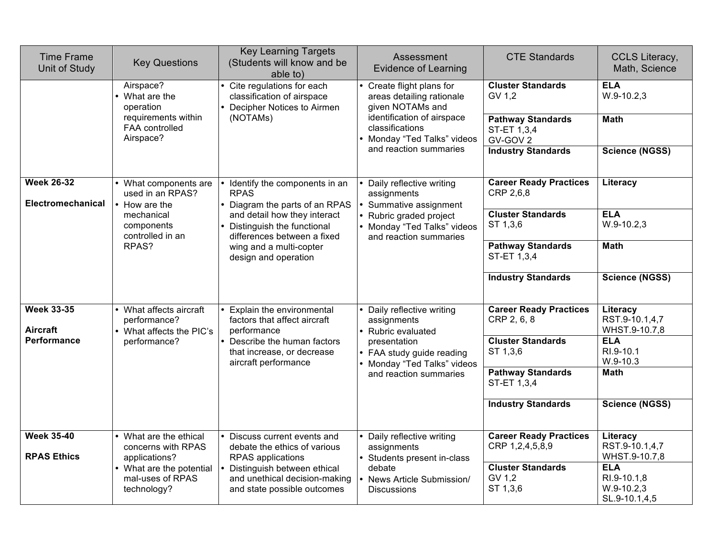| <b>Time Frame</b><br>Unit of Study            | <b>Key Questions</b>                                              | <b>Key Learning Targets</b><br>(Students will know and be<br>able to)                                                                                             | Assessment<br><b>Evidence of Learning</b>                                              | <b>CTE Standards</b>                                | CCLS Literacy,<br>Math, Science                            |
|-----------------------------------------------|-------------------------------------------------------------------|-------------------------------------------------------------------------------------------------------------------------------------------------------------------|----------------------------------------------------------------------------------------|-----------------------------------------------------|------------------------------------------------------------|
|                                               | Airspace?<br>• What are the<br>operation                          | Cite regulations for each<br>Create flight plans for<br>classification of airspace<br>areas detailing rationale<br>given NOTAMs and<br>Decipher Notices to Airmen | <b>Cluster Standards</b><br>GV 1,2                                                     | <b>ELA</b><br>$W.9-10.2,3$                          |                                                            |
|                                               | requirements within<br>FAA controlled<br>Airspace?                |                                                                                                                                                                   | identification of airspace<br>(NOTAMs)<br>classifications<br>Monday "Ted Talks" videos | <b>Pathway Standards</b><br>ST-ET 1,3,4<br>GV-GOV 2 | <b>Math</b>                                                |
|                                               |                                                                   |                                                                                                                                                                   | and reaction summaries                                                                 | <b>Industry Standards</b>                           | <b>Science (NGSS)</b>                                      |
| <b>Week 26-32</b><br><b>Electromechanical</b> | What components are<br>used in an RPAS?<br>How are the            | Identify the components in an<br><b>RPAS</b><br>• Diagram the parts of an RPAS                                                                                    | Daily reflective writing<br>assignments<br>Summative assignment                        | <b>Career Ready Practices</b><br>CRP 2,6,8          | Literacy                                                   |
|                                               | mechanical<br>components<br>controlled in an                      | and detail how they interact<br>Distinguish the functional<br>differences between a fixed                                                                         | Rubric graded project<br>• Monday "Ted Talks" videos<br>and reaction summaries         | <b>Cluster Standards</b><br>ST 1,3,6                | <b>ELA</b><br>$W.9-10.2,3$                                 |
|                                               | RPAS?                                                             | wing and a multi-copter<br>design and operation                                                                                                                   |                                                                                        | <b>Pathway Standards</b><br>ST-ET 1,3,4             | <b>Math</b>                                                |
|                                               |                                                                   |                                                                                                                                                                   |                                                                                        | <b>Industry Standards</b>                           | <b>Science (NGSS)</b>                                      |
| <b>Week 33-35</b><br><b>Aircraft</b>          | What affects aircraft<br>performance?<br>• What affects the PIC's | Explain the environmental<br>factors that affect aircraft<br>performance                                                                                          | • Daily reflective writing<br>assignments<br>• Rubric evaluated                        | <b>Career Ready Practices</b><br>CRP 2, 6, 8        | Literacy<br>RST.9-10.1,4,7<br>WHST.9-10.7,8                |
| <b>Performance</b>                            | performance?                                                      | Describe the human factors<br>that increase, or decrease<br>aircraft performance                                                                                  | presentation<br>• FAA study guide reading<br>Monday "Ted Talks" videos                 | <b>Cluster Standards</b><br>ST 1,3,6                | <b>ELA</b><br>RI.9-10.1<br>$W.9-10.3$                      |
|                                               |                                                                   |                                                                                                                                                                   | and reaction summaries                                                                 | <b>Pathway Standards</b><br>ST-ET 1,3,4             | <b>Math</b>                                                |
|                                               |                                                                   |                                                                                                                                                                   |                                                                                        | <b>Industry Standards</b>                           | <b>Science (NGSS)</b>                                      |
| <b>Week 35-40</b><br><b>RPAS Ethics</b>       | What are the ethical<br>concerns with RPAS<br>applications?       | Discuss current events and<br>debate the ethics of various<br>RPAS applications                                                                                   | Daily reflective writing<br>assignments<br>• Students present in-class                 | <b>Career Ready Practices</b><br>CRP 1,2,4,5,8,9    | Literacy<br>RST.9-10.1,4,7<br>WHST.9-10.7,8                |
|                                               | What are the potential<br>mal-uses of RPAS<br>technology?         | Distinguish between ethical<br>and unethical decision-making<br>and state possible outcomes                                                                       | debate<br>News Article Submission/<br><b>Discussions</b>                               | <b>Cluster Standards</b><br>GV 1,2<br>ST 1,3,6      | <b>ELA</b><br>RI.9-10.1,8<br>$W.9-10.2,3$<br>SL.9-10.1,4,5 |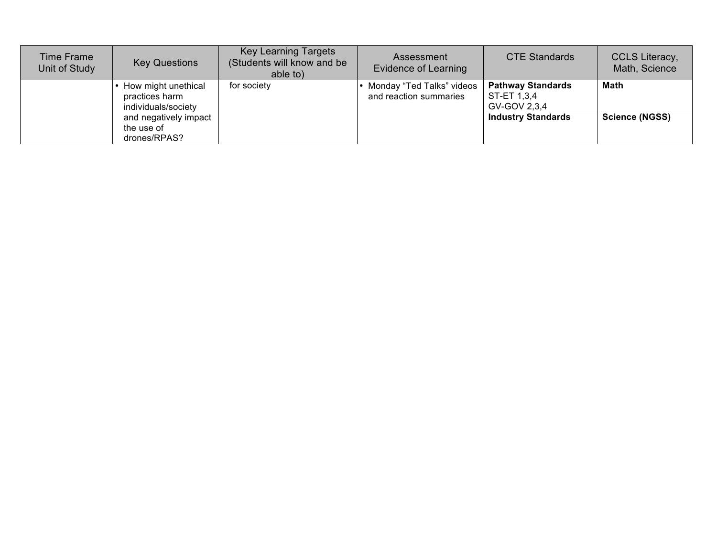| <b>Time Frame</b><br>Unit of Study | <b>Key Questions</b>                                         | <b>Key Learning Targets</b><br>(Students will know and be<br>able to) | Assessment<br>Evidence of Learning                  | <b>CTE Standards</b>                                    | CCLS Literacy,<br>Math, Science |
|------------------------------------|--------------------------------------------------------------|-----------------------------------------------------------------------|-----------------------------------------------------|---------------------------------------------------------|---------------------------------|
|                                    | How might unethical<br>practices harm<br>individuals/society | for society                                                           | Monday "Ted Talks" videos<br>and reaction summaries | <b>Pathway Standards</b><br>ST-ET 1,3,4<br>GV-GOV 2,3,4 | <b>Math</b>                     |
|                                    | and negatively impact<br>the use of<br>drones/RPAS?          |                                                                       |                                                     | <b>Industry Standards</b>                               | <b>Science (NGSS)</b>           |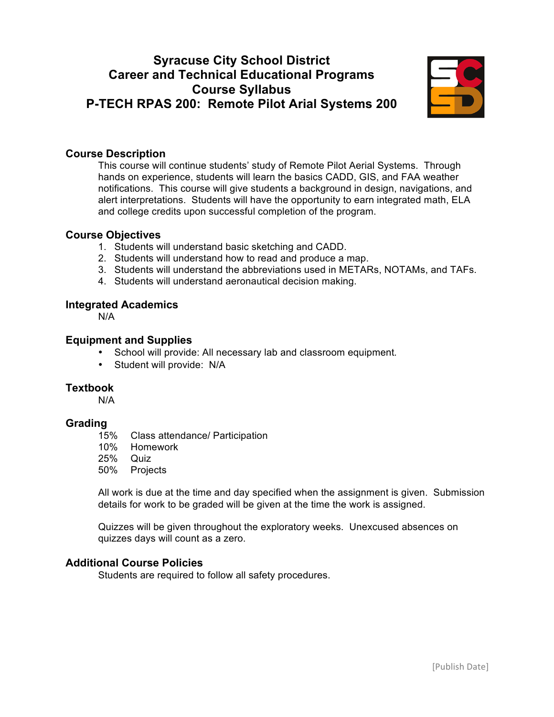# **Syracuse City School District Career and Technical Educational Programs Course Syllabus P-TECH RPAS 200: Remote Pilot Arial Systems 200**



## **Course Description**

This course will continue students' study of Remote Pilot Aerial Systems. Through hands on experience, students will learn the basics CADD, GIS, and FAA weather notifications. This course will give students a background in design, navigations, and alert interpretations. Students will have the opportunity to earn integrated math, ELA and college credits upon successful completion of the program.

## **Course Objectives**

- 1. Students will understand basic sketching and CADD.
- 2. Students will understand how to read and produce a map.
- 3. Students will understand the abbreviations used in METARs, NOTAMs, and TAFs.
- 4. Students will understand aeronautical decision making.

## **Integrated Academics**

N/A

## **Equipment and Supplies**

- School will provide: All necessary lab and classroom equipment*.*
- Student will provide: N/A

#### **Textbook**

N/A

#### **Grading**

- 15% Class attendance/ Participation
- 10% Homework
- 25% Quiz
- 50% Projects

All work is due at the time and day specified when the assignment is given. Submission details for work to be graded will be given at the time the work is assigned.

Quizzes will be given throughout the exploratory weeks. Unexcused absences on quizzes days will count as a zero.

## **Additional Course Policies**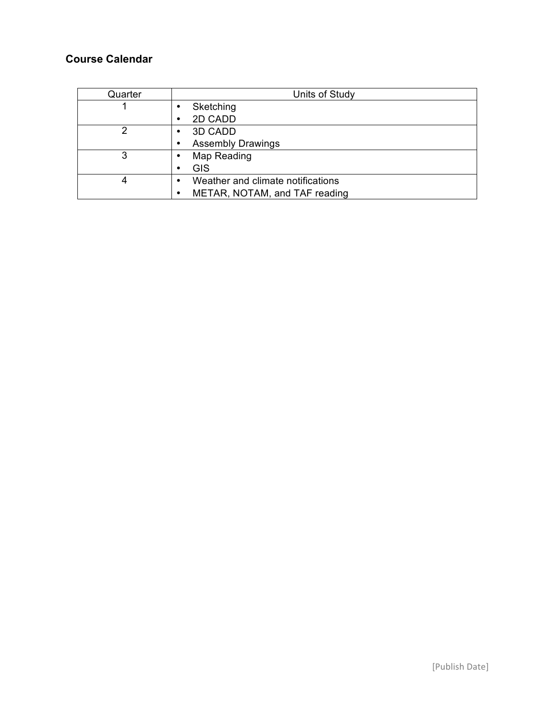| Quarter | Units of Study                    |
|---------|-----------------------------------|
|         | Sketching                         |
|         | 2D CADD                           |
| っ       | 3D CADD                           |
|         | <b>Assembly Drawings</b>          |
| 3       | Map Reading                       |
|         | <b>GIS</b>                        |
| 4       | Weather and climate notifications |
|         | METAR, NOTAM, and TAF reading     |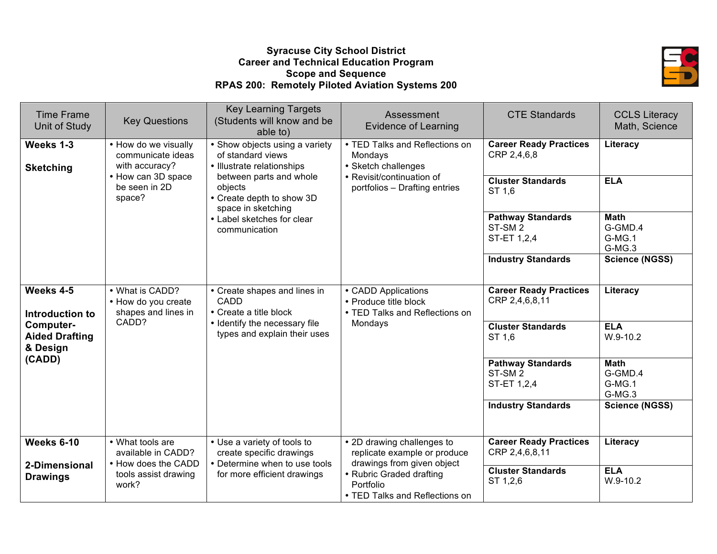## **Syracuse City School District Career and Technical Education Program Scope and Sequence RPAS 200: Remotely Piloted Aviation Systems 200**



| <b>Time Frame</b><br>Unit of Study             | <b>Key Questions</b>                                          | <b>Key Learning Targets</b><br>(Students will know and be<br>able to)                    | Assessment<br><b>Evidence of Learning</b>                                                | <b>CTE Standards</b>                                          | <b>CCLS Literacy</b><br>Math, Science      |
|------------------------------------------------|---------------------------------------------------------------|------------------------------------------------------------------------------------------|------------------------------------------------------------------------------------------|---------------------------------------------------------------|--------------------------------------------|
| Weeks 1-3<br><b>Sketching</b>                  | • How do we visually<br>communicate ideas<br>with accuracy?   | • Show objects using a variety<br>of standard views<br>• Illustrate relationships        | • TED Talks and Reflections on<br>Mondays<br>• Sketch challenges                         | <b>Career Ready Practices</b><br>CRP 2,4,6,8                  | Literacy                                   |
|                                                | • How can 3D space<br>be seen in 2D<br>space?                 | between parts and whole<br>objects<br>• Create depth to show 3D<br>space in sketching    | • Revisit/continuation of<br>portfolios - Drafting entries                               | <b>Cluster Standards</b><br>ST 1.6                            | <b>ELA</b>                                 |
|                                                |                                                               | • Label sketches for clear<br>communication                                              |                                                                                          | <b>Pathway Standards</b><br>ST-SM <sub>2</sub><br>ST-ET 1,2,4 | <b>Math</b><br>G-GMD.4<br>G-MG.1<br>G-MG.3 |
|                                                |                                                               |                                                                                          |                                                                                          | <b>Industry Standards</b>                                     | <b>Science (NGSS)</b>                      |
| Weeks 4-5<br>Introduction to                   | • What is CADD?<br>• How do you create<br>shapes and lines in | • Create shapes and lines in<br>CADD<br>• Create a title block                           | • CADD Applications<br>• Produce title block<br>• TED Talks and Reflections on           | <b>Career Ready Practices</b><br>CRP 2,4,6,8,11               | Literacy                                   |
| Computer-<br><b>Aided Drafting</b><br>& Design | CADD?                                                         | • Identify the necessary file<br>types and explain their uses                            | Mondays                                                                                  | <b>Cluster Standards</b><br>ST 1.6                            | <b>ELA</b><br>$W.9-10.2$                   |
| (CADD)                                         |                                                               |                                                                                          |                                                                                          | <b>Pathway Standards</b><br>ST-SM <sub>2</sub><br>ST-ET 1,2,4 | <b>Math</b><br>G-GMD.4<br>G-MG.1<br>G-MG.3 |
|                                                |                                                               |                                                                                          |                                                                                          | <b>Industry Standards</b>                                     | <b>Science (NGSS)</b>                      |
| Weeks 6-10<br>2-Dimensional                    | • What tools are<br>available in CADD?<br>• How does the CADD | • Use a variety of tools to<br>create specific drawings<br>• Determine when to use tools | • 2D drawing challenges to<br>replicate example or produce<br>drawings from given object | <b>Career Ready Practices</b><br>CRP 2,4,6,8,11               | Literacy                                   |
| <b>Drawings</b>                                | tools assist drawing<br>work?                                 | for more efficient drawings                                                              | • Rubric Graded drafting<br>Portfolio<br>• TED Talks and Reflections on                  | <b>Cluster Standards</b><br>ST 1,2,6                          | <b>ELA</b><br>$W.9-10.2$                   |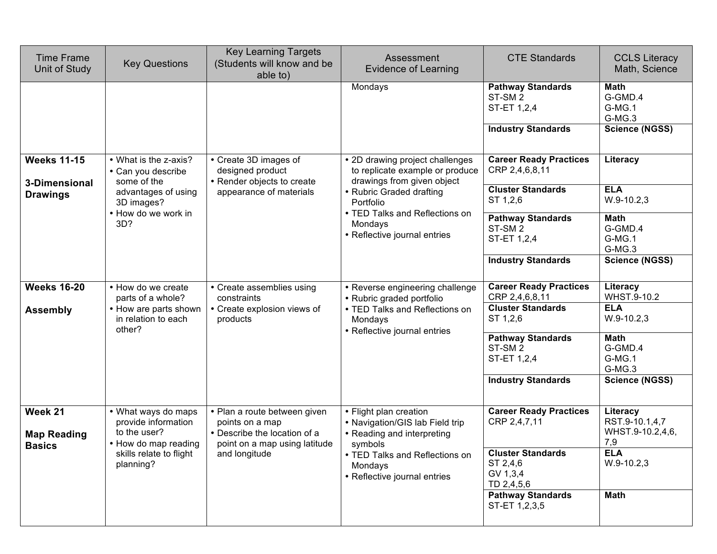| <b>Time Frame</b><br>Unit of Study                    | <b>Key Questions</b>                                                                                    | <b>Key Learning Targets</b><br>(Students will know and be<br>able to)                                            | Assessment<br>Evidence of Learning                                                                 | <b>CTE Standards</b>                                                                       | <b>CCLS Literacy</b><br>Math, Science                               |
|-------------------------------------------------------|---------------------------------------------------------------------------------------------------------|------------------------------------------------------------------------------------------------------------------|----------------------------------------------------------------------------------------------------|--------------------------------------------------------------------------------------------|---------------------------------------------------------------------|
|                                                       |                                                                                                         |                                                                                                                  | Mondays                                                                                            | <b>Pathway Standards</b><br>ST-SM <sub>2</sub><br>ST-ET 1,2,4<br><b>Industry Standards</b> | <b>Math</b><br>G-GMD.4<br>G-MG.1<br>G-MG.3<br><b>Science (NGSS)</b> |
|                                                       |                                                                                                         |                                                                                                                  |                                                                                                    |                                                                                            |                                                                     |
| <b>Weeks 11-15</b><br>3-Dimensional                   | • What is the z-axis?<br>• Can you describe<br>some of the                                              | • Create 3D images of<br>designed product<br>• Render objects to create                                          | • 2D drawing project challenges<br>to replicate example or produce<br>drawings from given object   | <b>Career Ready Practices</b><br>CRP 2,4,6,8,11                                            | Literacy                                                            |
| <b>Drawings</b>                                       | advantages of using<br>3D images?                                                                       | appearance of materials                                                                                          | • Rubric Graded drafting<br>Portfolio                                                              | <b>Cluster Standards</b><br>ST 1,2,6                                                       | <b>ELA</b><br>$W.9-10.2,3$                                          |
|                                                       | • How do we work in<br>• TED Talks and Reflections on<br>3D?<br>Mondays<br>• Reflective journal entries | <b>Pathway Standards</b><br>ST-SM <sub>2</sub><br>ST-ET 1,2,4                                                    | <b>Math</b><br>G-GMD.4<br>G-MG.1<br>G-MG.3                                                         |                                                                                            |                                                                     |
|                                                       |                                                                                                         |                                                                                                                  |                                                                                                    | <b>Industry Standards</b>                                                                  | <b>Science (NGSS)</b>                                               |
| <b>Weeks 16-20</b>                                    | • How do we create<br>parts of a whole?                                                                 | • Create assemblies using<br>constraints                                                                         | • Reverse engineering challenge<br>• Rubric graded portfolio                                       | <b>Career Ready Practices</b><br>CRP 2,4,6,8,11                                            | Literacy<br>WHST.9-10.2                                             |
| <b>Assembly</b>                                       | • How are parts shown<br>• Create explosion views of<br>in relation to each<br>products<br>other?       | • TED Talks and Reflections on<br>Mondays<br>• Reflective journal entries                                        | <b>Cluster Standards</b><br>ST 1,2,6                                                               | <b>ELA</b><br>$W.9-10.2,3$                                                                 |                                                                     |
|                                                       |                                                                                                         |                                                                                                                  |                                                                                                    | <b>Pathway Standards</b><br>ST-SM <sub>2</sub><br>ST-ET 1,2,4                              | <b>Math</b><br>G-GMD.4<br>G-MG.1<br>G-MG.3                          |
|                                                       |                                                                                                         |                                                                                                                  |                                                                                                    | <b>Industry Standards</b>                                                                  | <b>Science (NGSS)</b>                                               |
| Week 21<br><b>Map Reading</b><br><b>Basics</b>        | • What ways do maps<br>provide information<br>to the user?<br>• How do map reading                      | • Plan a route between given<br>points on a map<br>• Describe the location of a<br>point on a map using latitude | • Flight plan creation<br>• Navigation/GIS lab Field trip<br>• Reading and interpreting<br>symbols | <b>Career Ready Practices</b><br>CRP 2,4,7,11                                              | Literacy<br>RST.9-10.1,4,7<br>WHST.9-10.2,4,6,<br>7,9               |
| skills relate to flight<br>and longitude<br>planning? |                                                                                                         | • TED Talks and Reflections on<br>Mondays<br>• Reflective journal entries                                        | <b>Cluster Standards</b><br>ST 2,4,6<br>GV 1,3,4<br>TD 2,4,5,6                                     | <b>ELA</b><br>$W.9-10.2,3$                                                                 |                                                                     |
|                                                       |                                                                                                         |                                                                                                                  |                                                                                                    | <b>Pathway Standards</b><br>ST-ET 1,2,3,5                                                  | <b>Math</b>                                                         |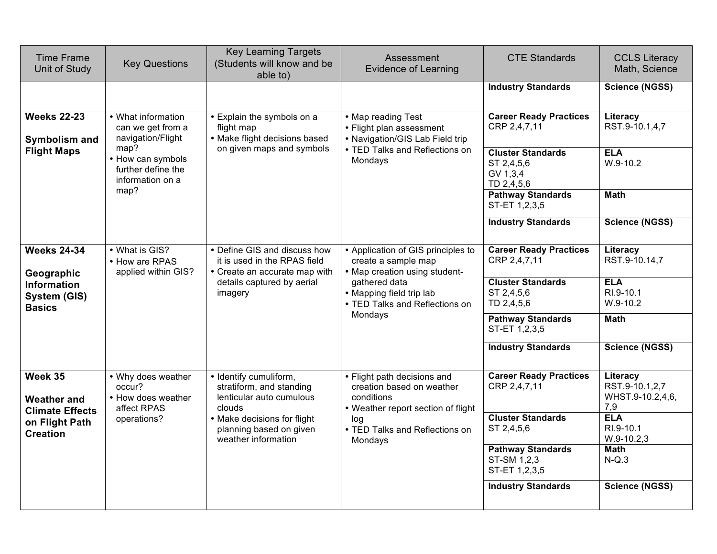| <b>Time Frame</b><br>Unit of Study                      | <b>Key Questions</b>                                                                          | <b>Key Learning Targets</b><br>(Students will know and be<br>able to)                         | Assessment<br><b>Evidence of Learning</b>                                                                    | <b>CTE Standards</b>                                             | <b>CCLS Literacy</b><br>Math, Science                 |
|---------------------------------------------------------|-----------------------------------------------------------------------------------------------|-----------------------------------------------------------------------------------------------|--------------------------------------------------------------------------------------------------------------|------------------------------------------------------------------|-------------------------------------------------------|
|                                                         |                                                                                               |                                                                                               |                                                                                                              | <b>Industry Standards</b>                                        | <b>Science (NGSS)</b>                                 |
| <b>Weeks 22-23</b><br>Symbolism and                     | • What information<br>can we get from a<br>navigation/Flight                                  | • Explain the symbols on a<br>flight map<br>• Make flight decisions based                     | • Map reading Test<br>• Flight plan assessment<br>• Navigation/GIS Lab Field trip                            | <b>Career Ready Practices</b><br>CRP 2,4,7,11                    | Literacy<br>RST.9-10.1,4,7                            |
| <b>Flight Maps</b>                                      | map?<br>• How can symbols<br>further define the<br>information on a                           | on given maps and symbols                                                                     | • TED Talks and Reflections on<br>Mondays                                                                    | <b>Cluster Standards</b><br>ST 2,4,5,6<br>GV 1,3,4<br>TD 2,4,5,6 | <b>ELA</b><br>$W.9-10.2$                              |
|                                                         | map?                                                                                          |                                                                                               |                                                                                                              | <b>Pathway Standards</b><br>ST-ET 1,2,3,5                        | <b>Math</b>                                           |
|                                                         |                                                                                               |                                                                                               |                                                                                                              | <b>Industry Standards</b>                                        | <b>Science (NGSS)</b>                                 |
| <b>Weeks 24-34</b><br>Geographic                        | • What is GIS?<br>• How are RPAS<br>applied within GIS?                                       | • Define GIS and discuss how<br>it is used in the RPAS field<br>• Create an accurate map with | • Application of GIS principles to<br>create a sample map<br>• Map creation using student-                   | <b>Career Ready Practices</b><br>CRP 2,4,7,11                    | Literacy<br>RST.9-10.14,7                             |
| <b>Information</b><br>System (GIS)<br><b>Basics</b>     | details captured by aerial<br>gathered data<br>imagery<br>• Mapping field trip lab<br>Mondays | • TED Talks and Reflections on                                                                | <b>Cluster Standards</b><br>ST 2,4,5,6<br>TD 2,4,5,6                                                         | <b>ELA</b><br>RI.9-10.1<br>W.9-10.2                              |                                                       |
|                                                         |                                                                                               |                                                                                               | <b>Pathway Standards</b><br>ST-ET 1,2,3,5                                                                    | <b>Math</b>                                                      |                                                       |
|                                                         |                                                                                               |                                                                                               |                                                                                                              | <b>Industry Standards</b>                                        | <b>Science (NGSS)</b>                                 |
| Week 35<br><b>Weather and</b><br><b>Climate Effects</b> | • Why does weather<br>occur?<br>• How does weather<br>affect RPAS                             | • Identify cumuliform,<br>stratiform, and standing<br>lenticular auto cumulous<br>clouds      | • Flight path decisions and<br>creation based on weather<br>conditions<br>• Weather report section of flight | <b>Career Ready Practices</b><br>CRP 2,4,7,11                    | Literacy<br>RST.9-10.1,2,7<br>WHST.9-10.2,4,6,<br>7,9 |
| on Flight Path<br><b>Creation</b>                       | operations?                                                                                   | • Make decisions for flight<br>planning based on given<br>weather information                 | log<br>• TED Talks and Reflections on<br>Mondays                                                             | <b>Cluster Standards</b><br>ST 2,4,5,6                           | <b>ELA</b><br>RI.9-10.1<br>$W.9-10.2,3$               |
|                                                         |                                                                                               |                                                                                               |                                                                                                              | <b>Pathway Standards</b><br>ST-SM 1,2,3<br>ST-ET 1,2,3,5         | <b>Math</b><br>$N-Q.3$                                |
|                                                         |                                                                                               |                                                                                               |                                                                                                              | <b>Industry Standards</b>                                        | <b>Science (NGSS)</b>                                 |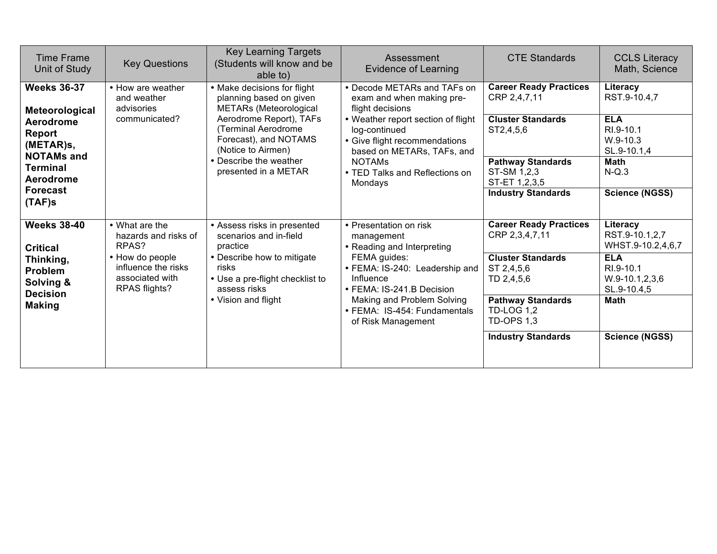| <b>Time Frame</b><br>Unit of Study                                                                                                               | <b>Key Questions</b>                                                                | <b>Key Learning Targets</b><br>(Students will know and be<br>able to)                                                                                                                                                                       | Assessment<br><b>Evidence of Learning</b>                                                                                                                                                                                                                        | <b>CTE Standards</b>                                                                                                                                                            | <b>CCLS Literacy</b><br>Math, Science                                                                                               |
|--------------------------------------------------------------------------------------------------------------------------------------------------|-------------------------------------------------------------------------------------|---------------------------------------------------------------------------------------------------------------------------------------------------------------------------------------------------------------------------------------------|------------------------------------------------------------------------------------------------------------------------------------------------------------------------------------------------------------------------------------------------------------------|---------------------------------------------------------------------------------------------------------------------------------------------------------------------------------|-------------------------------------------------------------------------------------------------------------------------------------|
| <b>Weeks 36-37</b><br>Meteorological<br>Aerodrome<br>Report<br>(METAR)s,<br><b>NOTAMs and</b><br><b>Terminal</b><br>Aerodrome<br><b>Forecast</b> | • How are weather<br>and weather<br>advisories<br>communicated?                     | • Make decisions for flight<br>planning based on given<br><b>METARs</b> (Meteorological<br>Aerodrome Report), TAFs<br>(Terminal Aerodrome)<br>Forecast), and NOTAMS<br>(Notice to Airmen)<br>• Describe the weather<br>presented in a METAR | • Decode METARs and TAFs on<br>exam and when making pre-<br>flight decisions<br>• Weather report section of flight<br>log-continued<br>• Give flight recommendations<br>based on METARs, TAFs, and<br><b>NOTAMS</b><br>• TED Talks and Reflections on<br>Mondays | <b>Career Ready Practices</b><br>CRP 2,4,7,11<br><b>Cluster Standards</b><br>ST2,4,5,6<br><b>Pathway Standards</b><br>ST-SM 1,2,3<br>ST-ET 1,2,3,5<br><b>Industry Standards</b> | Literacy<br>RST.9-10.4,7<br><b>ELA</b><br>RI.9-10.1<br>$W.9-10.3$<br>SL.9-10.1,4<br><b>Math</b><br>$N-Q.3$<br><b>Science (NGSS)</b> |
| $(TAF)$ s<br><b>Weeks 38-40</b>                                                                                                                  | • What are the<br>hazards and risks of                                              | • Assess risks in presented<br>scenarios and in-field                                                                                                                                                                                       | • Presentation on risk<br>management                                                                                                                                                                                                                             | <b>Career Ready Practices</b><br>CRP 2,3,4,7,11                                                                                                                                 | Literacy<br>RST.9-10.1,2,7                                                                                                          |
| <b>Critical</b><br>Thinking,<br><b>Problem</b><br>Solving &<br><b>Decision</b><br><b>Making</b>                                                  | RPAS?<br>• How do people<br>influence the risks<br>associated with<br>RPAS flights? | practice<br>• Describe how to mitigate<br>risks<br>• Use a pre-flight checklist to<br>assess risks<br>• Vision and flight                                                                                                                   | • Reading and Interpreting<br>FEMA guides:<br>• FEMA: IS-240: Leadership and<br>Influence<br>• FEMA: IS-241.B Decision<br>Making and Problem Solving<br>• FEMA: IS-454: Fundamentals                                                                             | <b>Cluster Standards</b><br>ST 2,4,5,6<br>TD 2,4,5,6<br><b>Pathway Standards</b><br><b>TD-LOG 1,2</b>                                                                           | WHST.9-10.2,4,6,7<br><b>ELA</b><br>RI.9-10.1<br>$W.9-10.1, 2, 3, 6$<br>SL.9-10.4,5<br><b>Math</b>                                   |
|                                                                                                                                                  |                                                                                     |                                                                                                                                                                                                                                             | of Risk Management                                                                                                                                                                                                                                               | <b>TD-OPS 1,3</b><br><b>Industry Standards</b>                                                                                                                                  | <b>Science (NGSS)</b>                                                                                                               |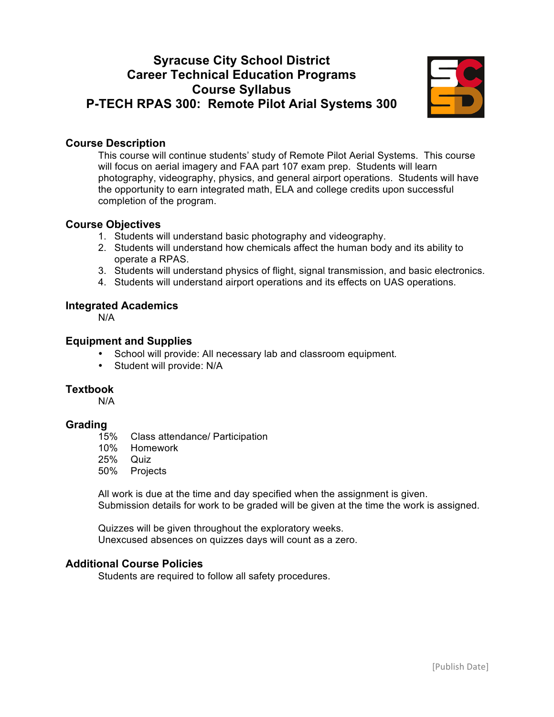# **Syracuse City School District Career Technical Education Programs Course Syllabus P-TECH RPAS 300: Remote Pilot Arial Systems 300**



## **Course Description**

This course will continue students' study of Remote Pilot Aerial Systems. This course will focus on aerial imagery and FAA part 107 exam prep. Students will learn photography, videography, physics, and general airport operations. Students will have the opportunity to earn integrated math, ELA and college credits upon successful completion of the program.

## **Course Objectives**

- 1. Students will understand basic photography and videography.
- 2. Students will understand how chemicals affect the human body and its ability to operate a RPAS.
- 3. Students will understand physics of flight, signal transmission, and basic electronics.
- 4. Students will understand airport operations and its effects on UAS operations.

## **Integrated Academics**

N/A

## **Equipment and Supplies**

- School will provide: All necessary lab and classroom equipment*.*
- Student will provide: N/A

#### **Textbook**

N/A

## **Grading**

- 15% Class attendance/ Participation
- 10% Homework
- 25% Quiz
- 50% Projects

All work is due at the time and day specified when the assignment is given. Submission details for work to be graded will be given at the time the work is assigned.

Quizzes will be given throughout the exploratory weeks. Unexcused absences on quizzes days will count as a zero.

## **Additional Course Policies**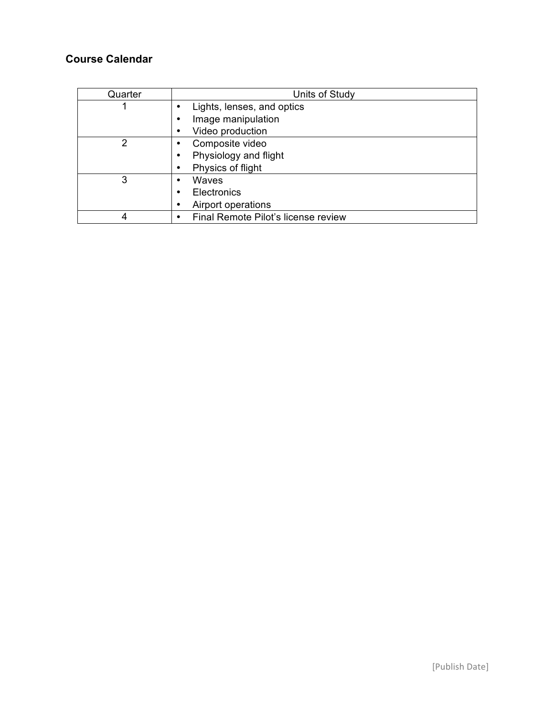| Quarter | Units of Study                      |
|---------|-------------------------------------|
|         | Lights, lenses, and optics          |
|         | Image manipulation                  |
|         | Video production                    |
| 2       | Composite video                     |
|         | Physiology and flight               |
|         | Physics of flight                   |
| 3       | Waves                               |
|         | <b>Electronics</b>                  |
|         | Airport operations                  |
|         | Final Remote Pilot's license review |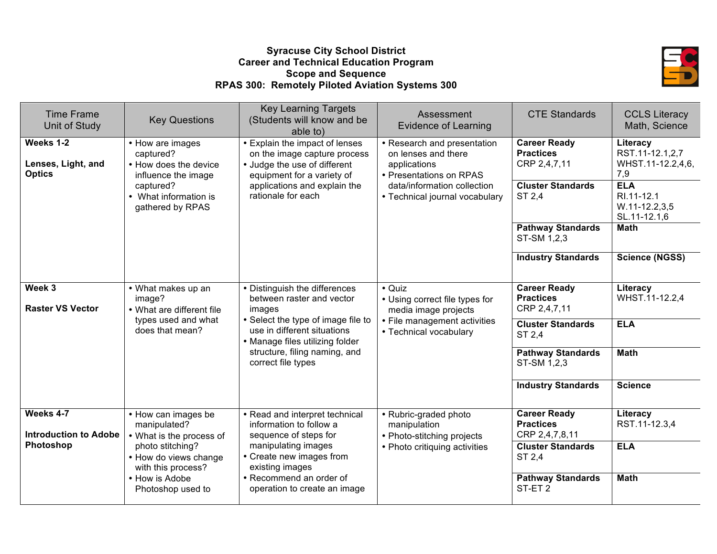## **Syracuse City School District Career and Technical Education Program Scope and Sequence RPAS 300: Remotely Piloted Aviation Systems 300**



| <b>Time Frame</b><br><b>Unit of Study</b>        | <b>Key Questions</b>                                                                                         | <b>Key Learning Targets</b><br>(Students will know and be<br>able to)                                                        | Assessment<br><b>Evidence of Learning</b>                                                     | <b>CTE Standards</b>                                        | <b>CCLS Literacy</b><br>Math, Science                   |
|--------------------------------------------------|--------------------------------------------------------------------------------------------------------------|------------------------------------------------------------------------------------------------------------------------------|-----------------------------------------------------------------------------------------------|-------------------------------------------------------------|---------------------------------------------------------|
| Weeks 1-2<br>Lenses, Light, and<br><b>Optics</b> | • How are images<br>captured?<br>• How does the device<br>influence the image                                | • Explain the impact of lenses<br>on the image capture process<br>• Judge the use of different<br>equipment for a variety of | • Research and presentation<br>on lenses and there<br>applications<br>• Presentations on RPAS | <b>Career Ready</b><br><b>Practices</b><br>CRP 2,4,7,11     | Literacy<br>RST.11-12.1,2,7<br>WHST.11-12.2,4,6,<br>7,9 |
|                                                  | applications and explain the<br>captured?<br>rationale for each<br>• What information is<br>gathered by RPAS | data/information collection<br>• Technical journal vocabulary                                                                | <b>Cluster Standards</b><br>ST 2,4                                                            | <b>ELA</b><br>RI.11-12.1<br>$W.11-12.2,3,5$<br>SL.11-12.1,6 |                                                         |
|                                                  |                                                                                                              |                                                                                                                              |                                                                                               | <b>Pathway Standards</b><br>ST-SM 1,2,3                     | <b>Math</b>                                             |
|                                                  |                                                                                                              |                                                                                                                              |                                                                                               | <b>Industry Standards</b>                                   | <b>Science (NGSS)</b>                                   |
| Week 3<br><b>Raster VS Vector</b>                | • What makes up an<br>image?<br>• What are different file                                                    | • Distinguish the differences<br>between raster and vector<br>images                                                         | • Quiz<br>• Using correct file types for<br>media image projects                              | <b>Career Ready</b><br><b>Practices</b><br>CRP 2,4,7,11     | Literacy<br>WHST.11-12.2,4                              |
|                                                  | types used and what<br>does that mean?                                                                       | • Select the type of image file to<br>use in different situations<br>• Manage files utilizing folder                         | • File management activities<br>• Technical vocabulary                                        | <b>Cluster Standards</b><br>ST 2,4                          | <b>ELA</b>                                              |
|                                                  |                                                                                                              | structure, filing naming, and<br>correct file types                                                                          |                                                                                               | <b>Pathway Standards</b><br>ST-SM 1,2,3                     | <b>Math</b>                                             |
|                                                  |                                                                                                              |                                                                                                                              |                                                                                               | <b>Industry Standards</b>                                   | <b>Science</b>                                          |
| Weeks 4-7<br><b>Introduction to Adobe</b>        | • How can images be<br>manipulated?<br>• What is the process of                                              | • Read and interpret technical<br>information to follow a<br>sequence of steps for                                           | • Rubric-graded photo<br>manipulation<br>• Photo-stitching projects                           | <b>Career Ready</b><br><b>Practices</b><br>CRP 2,4,7,8,11   | Literacy<br>RST.11-12.3,4                               |
| Photoshop                                        | photo stitching?<br>• How do views change<br>with this process?                                              | manipulating images<br>• Create new images from<br>existing images                                                           | • Photo critiquing activities                                                                 | <b>Cluster Standards</b><br>ST 2,4                          | <b>ELA</b>                                              |
|                                                  | • How is Adobe<br>Photoshop used to                                                                          | • Recommend an order of<br>operation to create an image                                                                      |                                                                                               | <b>Pathway Standards</b><br>ST-ET <sub>2</sub>              | <b>Math</b>                                             |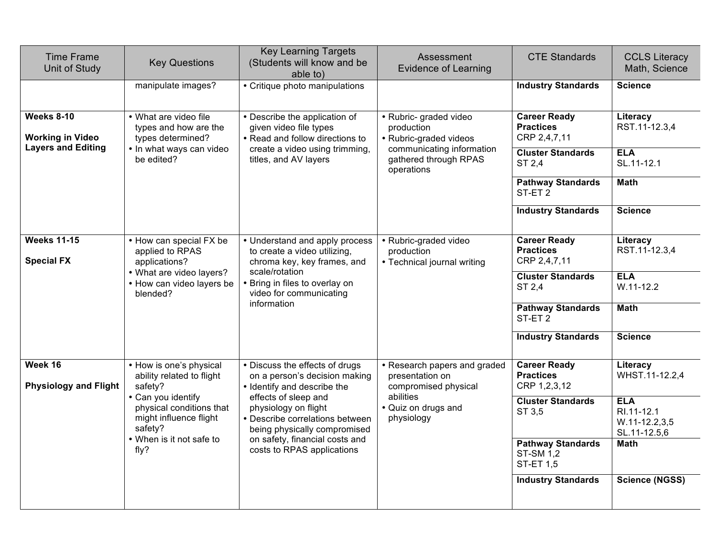| <b>Time Frame</b><br>Unit of Study      | <b>Key Questions</b>                                                                | <b>Key Learning Targets</b><br>(Students will know and be<br>able to)                                                                                                           | Assessment<br><b>Evidence of Learning</b>                               | <b>CTE Standards</b>                                             | <b>CCLS Literacy</b><br>Math, Science                       |
|-----------------------------------------|-------------------------------------------------------------------------------------|---------------------------------------------------------------------------------------------------------------------------------------------------------------------------------|-------------------------------------------------------------------------|------------------------------------------------------------------|-------------------------------------------------------------|
|                                         | manipulate images?                                                                  | • Critique photo manipulations                                                                                                                                                  |                                                                         | <b>Industry Standards</b>                                        | <b>Science</b>                                              |
| Weeks 8-10<br><b>Working in Video</b>   | • What are video file<br>types and how are the<br>types determined?                 | • Describe the application of<br>given video file types<br>• Read and follow directions to                                                                                      | · Rubric- graded video<br>production<br>• Rubric-graded videos          | <b>Career Ready</b><br><b>Practices</b><br>CRP 2,4,7,11          | Literacy<br>RST.11-12.3,4                                   |
| <b>Layers and Editing</b>               | • In what ways can video<br>be edited?                                              | create a video using trimming,<br>communicating information<br>titles, and AV layers<br>gathered through RPAS<br>operations                                                     | <b>Cluster Standards</b><br>ST 2,4                                      | <b>ELA</b><br>SL.11-12.1                                         |                                                             |
|                                         |                                                                                     |                                                                                                                                                                                 |                                                                         | <b>Pathway Standards</b><br>ST-ET <sub>2</sub>                   | <b>Math</b>                                                 |
|                                         |                                                                                     |                                                                                                                                                                                 |                                                                         | <b>Industry Standards</b>                                        | <b>Science</b>                                              |
| <b>Weeks 11-15</b><br><b>Special FX</b> | • How can special FX be<br>applied to RPAS<br>applications?                         | • Understand and apply process<br>to create a video utilizing,<br>chroma key, key frames, and                                                                                   | • Rubric-graded video<br>production<br>• Technical journal writing      | <b>Career Ready</b><br><b>Practices</b><br>CRP 2,4,7,11          | Literacy<br>RST.11-12.3,4                                   |
|                                         | • What are video layers?<br>• How can video layers be<br>blended?                   | scale/rotation<br>• Bring in files to overlay on<br>video for communicating<br>information                                                                                      |                                                                         | <b>Cluster Standards</b><br>ST 2,4                               | <b>ELA</b><br>$W.11 - 12.2$                                 |
|                                         |                                                                                     |                                                                                                                                                                                 |                                                                         | <b>Pathway Standards</b><br>ST-ET <sub>2</sub>                   | <b>Math</b>                                                 |
|                                         |                                                                                     |                                                                                                                                                                                 |                                                                         | <b>Industry Standards</b>                                        | <b>Science</b>                                              |
| Week 16<br><b>Physiology and Flight</b> | • How is one's physical<br>ability related to flight<br>safety?                     | • Discuss the effects of drugs<br>on a person's decision making<br>• Identify and describe the                                                                                  | • Research papers and graded<br>presentation on<br>compromised physical | <b>Career Ready</b><br><b>Practices</b><br>CRP 1,2,3,12          | Literacy<br>WHST.11-12.2,4                                  |
|                                         | • Can you identify<br>physical conditions that<br>might influence flight<br>safety? | effects of sleep and<br>physiology on flight<br>• Describe correlations between<br>being physically compromised<br>on safety, financial costs and<br>costs to RPAS applications | abilities<br>• Quiz on drugs and<br>physiology                          | <b>Cluster Standards</b><br>ST 3,5                               | <b>ELA</b><br>RI.11-12.1<br>$W.11-12.2,3,5$<br>SL.11-12.5,6 |
|                                         | • When is it not safe to<br>fly?                                                    |                                                                                                                                                                                 |                                                                         | <b>Pathway Standards</b><br><b>ST-SM 1,2</b><br><b>ST-ET 1,5</b> | <b>Math</b>                                                 |
|                                         |                                                                                     |                                                                                                                                                                                 |                                                                         | <b>Industry Standards</b>                                        | <b>Science (NGSS)</b>                                       |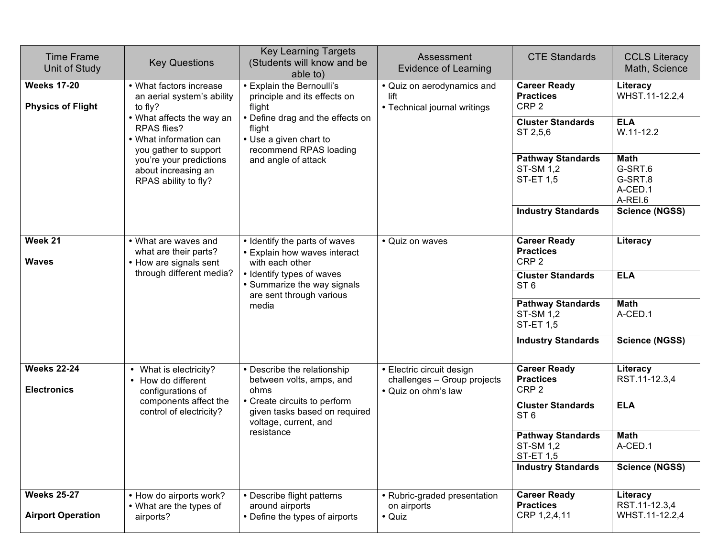| <b>Time Frame</b><br>Unit of Study             | <b>Key Questions</b>                                                                        | <b>Key Learning Targets</b><br>(Students will know and be<br>able to)                          | Assessment<br><b>Evidence of Learning</b>                                       | <b>CTE Standards</b>                                             | <b>CCLS Literacy</b><br>Math, Science                   |
|------------------------------------------------|---------------------------------------------------------------------------------------------|------------------------------------------------------------------------------------------------|---------------------------------------------------------------------------------|------------------------------------------------------------------|---------------------------------------------------------|
| <b>Weeks 17-20</b><br><b>Physics of Flight</b> | • What factors increase<br>an aerial system's ability<br>to fly?                            | • Explain the Bernoulli's<br>principle and its effects on<br>flight                            | • Quiz on aerodynamics and<br>lift<br>• Technical journal writings              | <b>Career Ready</b><br><b>Practices</b><br>CRP <sub>2</sub>      | Literacy<br>WHST.11-12.2,4                              |
|                                                | • What affects the way an<br>RPAS flies?<br>• What information can<br>you gather to support | • Define drag and the effects on<br>flight<br>• Use a given chart to<br>recommend RPAS loading |                                                                                 | <b>Cluster Standards</b><br>ST 2,5,6                             | <b>ELA</b><br>$W.11-12.2$                               |
|                                                | you're your predictions<br>about increasing an<br>RPAS ability to fly?                      | and angle of attack                                                                            |                                                                                 | <b>Pathway Standards</b><br><b>ST-SM 1,2</b><br><b>ST-ET 1,5</b> | <b>Math</b><br>G-SRT.6<br>G-SRT.8<br>A-CED.1<br>A-REI.6 |
|                                                |                                                                                             |                                                                                                |                                                                                 | <b>Industry Standards</b>                                        | <b>Science (NGSS)</b>                                   |
| Week 21<br><b>Waves</b>                        | • What are waves and<br>what are their parts?<br>• How are signals sent                     | • Identify the parts of waves<br>• Explain how waves interact<br>with each other               | • Quiz on waves                                                                 | <b>Career Ready</b><br><b>Practices</b><br>CRP <sub>2</sub>      | Literacy                                                |
|                                                | through different media?                                                                    | • Identify types of waves<br>• Summarize the way signals<br>are sent through various<br>media  |                                                                                 | <b>Cluster Standards</b><br>ST <sub>6</sub>                      | <b>ELA</b>                                              |
|                                                |                                                                                             |                                                                                                |                                                                                 | <b>Pathway Standards</b><br><b>ST-SM 1,2</b><br><b>ST-ET 1,5</b> | <b>Math</b><br>A-CED.1                                  |
|                                                |                                                                                             |                                                                                                |                                                                                 | <b>Industry Standards</b>                                        | <b>Science (NGSS)</b>                                   |
| <b>Weeks 22-24</b><br><b>Electronics</b>       | • What is electricity?<br>• How do different<br>configurations of                           | • Describe the relationship<br>between volts, amps, and<br>ohms                                | · Electric circuit design<br>challenges - Group projects<br>• Quiz on ohm's law | <b>Career Ready</b><br><b>Practices</b><br>CRP <sub>2</sub>      | Literacy<br>RST.11-12.3,4                               |
|                                                | components affect the<br>control of electricity?                                            | • Create circuits to perform<br>given tasks based on required<br>voltage, current, and         |                                                                                 | <b>Cluster Standards</b><br>ST <sub>6</sub>                      | <b>ELA</b>                                              |
|                                                |                                                                                             | resistance                                                                                     |                                                                                 | <b>Pathway Standards</b><br>ST-SM 1,2<br><b>ST-ET 1,5</b>        | <b>Math</b><br>A-CED.1                                  |
|                                                |                                                                                             |                                                                                                |                                                                                 | <b>Industry Standards</b>                                        | <b>Science (NGSS)</b>                                   |
| <b>Weeks 25-27</b><br><b>Airport Operation</b> | • How do airports work?<br>• What are the types of<br>airports?                             | • Describe flight patterns<br>around airports<br>• Define the types of airports                | • Rubric-graded presentation<br>on airports<br>• Quiz                           | <b>Career Ready</b><br><b>Practices</b><br>CRP 1,2,4,11          | Literacy<br>RST.11-12.3,4<br>WHST.11-12.2,4             |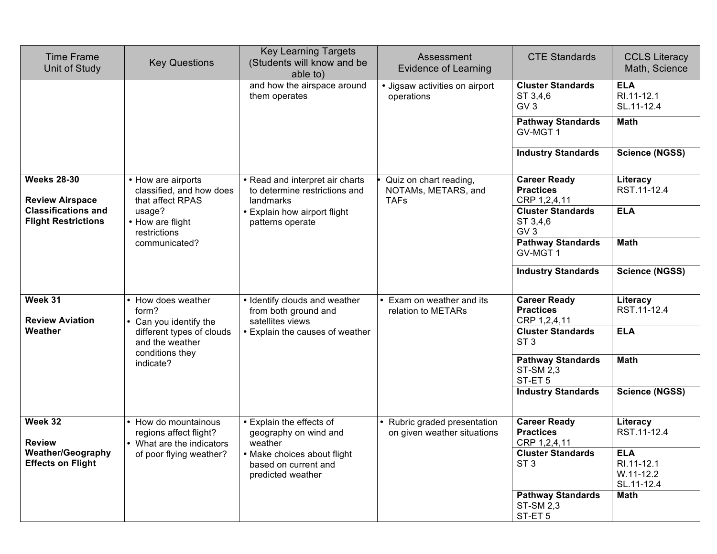| <b>Time Frame</b><br>Unit of Study                       | <b>Key Questions</b>                                                        | <b>Key Learning Targets</b><br>(Students will know and be<br>able to)         | Assessment<br><b>Evidence of Learning</b>                    | <b>CTE Standards</b>                                               | <b>CCLS Literacy</b><br>Math, Science                 |
|----------------------------------------------------------|-----------------------------------------------------------------------------|-------------------------------------------------------------------------------|--------------------------------------------------------------|--------------------------------------------------------------------|-------------------------------------------------------|
|                                                          |                                                                             | and how the airspace around<br>them operates                                  | • Jigsaw activities on airport<br>operations                 | <b>Cluster Standards</b><br>ST 3,4,6<br>GV <sub>3</sub>            | <b>ELA</b><br>RI.11-12.1<br>SL.11-12.4                |
|                                                          |                                                                             |                                                                               |                                                              | <b>Pathway Standards</b><br>GV-MGT 1                               | <b>Math</b>                                           |
|                                                          |                                                                             |                                                                               |                                                              | <b>Industry Standards</b>                                          | <b>Science (NGSS)</b>                                 |
| <b>Weeks 28-30</b><br><b>Review Airspace</b>             | • How are airports<br>classified, and how does<br>that affect RPAS          | • Read and interpret air charts<br>to determine restrictions and<br>landmarks | Quiz on chart reading,<br>NOTAMs, METARS, and<br><b>TAFs</b> | <b>Career Ready</b><br><b>Practices</b><br>CRP 1,2,4,11            | Literacy<br>RST.11-12.4                               |
| <b>Classifications and</b><br><b>Flight Restrictions</b> | usage?<br>• How are flight<br>restrictions                                  | • Explain how airport flight<br>patterns operate                              |                                                              | <b>ELA</b>                                                         |                                                       |
|                                                          | communicated?                                                               |                                                                               |                                                              | <b>Pathway Standards</b><br>GV-MGT 1                               | <b>Math</b>                                           |
|                                                          |                                                                             |                                                                               |                                                              | <b>Industry Standards</b>                                          | <b>Science (NGSS)</b>                                 |
| Week 31<br><b>Review Aviation</b>                        | • How does weather<br>form?<br>Can you identify the                         | • Identify clouds and weather<br>from both ground and<br>satellites views     | Exam on weather and its<br>relation to METARs                | <b>Career Ready</b><br><b>Practices</b><br>CRP 1,2,4,11            | Literacy<br>RST.11-12.4                               |
| Weather                                                  | different types of clouds<br>and the weather                                | • Explain the causes of weather                                               |                                                              | <b>Cluster Standards</b><br>ST <sub>3</sub>                        | <b>ELA</b>                                            |
|                                                          | conditions they<br>indicate?                                                |                                                                               |                                                              | <b>Pathway Standards</b><br><b>ST-SM 2,3</b><br>ST-ET <sub>5</sub> | <b>Math</b>                                           |
|                                                          |                                                                             |                                                                               |                                                              | <b>Industry Standards</b>                                          | <b>Science (NGSS)</b>                                 |
| Week 32<br><b>Review</b>                                 | • How do mountainous<br>regions affect flight?<br>• What are the indicators | • Explain the effects of<br>geography on wind and<br>weather                  | Rubric graded presentation<br>on given weather situations    | <b>Career Ready</b><br><b>Practices</b><br>CRP 1,2,4,11            | Literacy<br>RST.11-12.4                               |
| <b>Weather/Geography</b><br><b>Effects on Flight</b>     | of poor flying weather?                                                     | • Make choices about flight<br>based on current and<br>predicted weather      |                                                              | <b>Cluster Standards</b><br>ST <sub>3</sub>                        | <b>ELA</b><br>RI.11-12.1<br>$W.11-12.2$<br>SL.11-12.4 |
|                                                          |                                                                             |                                                                               |                                                              | <b>Pathway Standards</b><br>ST-SM 2,3<br>ST-ET <sub>5</sub>        | Math                                                  |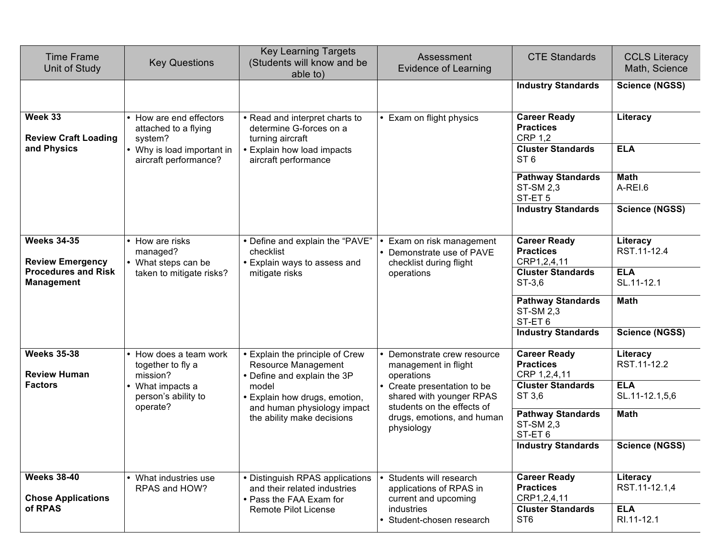| <b>Time Frame</b><br>Unit of Study              | <b>Key Questions</b>                                     | <b>Key Learning Targets</b><br>(Students will know and be<br>able to)                      | Assessment<br><b>Evidence of Learning</b>                                           | <b>CTE Standards</b>                                               | <b>CCLS Literacy</b><br>Math, Science |
|-------------------------------------------------|----------------------------------------------------------|--------------------------------------------------------------------------------------------|-------------------------------------------------------------------------------------|--------------------------------------------------------------------|---------------------------------------|
|                                                 |                                                          |                                                                                            |                                                                                     | <b>Industry Standards</b>                                          | <b>Science (NGSS)</b>                 |
| Week 33<br><b>Review Craft Loading</b>          | How are end effectors<br>attached to a flying<br>system? | • Read and interpret charts to<br>determine G-forces on a<br>turning aircraft              | • Exam on flight physics                                                            | <b>Career Ready</b><br><b>Practices</b><br><b>CRP 1.2</b>          | Literacy                              |
| and Physics                                     | Why is load important in<br>aircraft performance?        | • Explain how load impacts<br>aircraft performance                                         |                                                                                     | <b>Cluster Standards</b><br>ST <sub>6</sub>                        | <b>ELA</b>                            |
|                                                 |                                                          |                                                                                            |                                                                                     | <b>Pathway Standards</b><br><b>ST-SM 2,3</b><br>ST-ET <sub>5</sub> | <b>Math</b><br>A-REI.6                |
|                                                 |                                                          |                                                                                            |                                                                                     | <b>Industry Standards</b>                                          | <b>Science (NGSS)</b>                 |
| <b>Weeks 34-35</b><br><b>Review Emergency</b>   | How are risks<br>managed?<br>• What steps can be         | • Define and explain the "PAVE"<br>checklist<br>• Explain ways to assess and               | Exam on risk management<br>• Demonstrate use of PAVE<br>checklist during flight     | <b>Career Ready</b><br><b>Practices</b><br>CRP1,2,4,11             | Literacy<br>RST.11-12.4               |
| <b>Procedures and Risk</b><br><b>Management</b> | taken to mitigate risks?                                 | mitigate risks                                                                             | operations                                                                          | <b>Cluster Standards</b><br>ST-3,6                                 | <b>ELA</b><br>SL.11-12.1              |
|                                                 |                                                          |                                                                                            |                                                                                     | <b>Pathway Standards</b><br><b>ST-SM 2,3</b><br>ST-ET <sub>6</sub> | <b>Math</b>                           |
|                                                 |                                                          |                                                                                            |                                                                                     | <b>Industry Standards</b>                                          | <b>Science (NGSS)</b>                 |
| <b>Weeks 35-38</b><br><b>Review Human</b>       | • How does a team work<br>together to fly a<br>mission?  | • Explain the principle of Crew<br>Resource Management<br>• Define and explain the 3P      | Demonstrate crew resource<br>management in flight<br>operations                     | <b>Career Ready</b><br><b>Practices</b><br>CRP 1,2,4,11            | Literacy<br>RST.11-12.2               |
| <b>Factors</b>                                  | What impacts a<br>person's ability to<br>operate?        | model<br>• Explain how drugs, emotion,<br>and human physiology impact                      | Create presentation to be<br>shared with younger RPAS<br>students on the effects of | <b>Cluster Standards</b><br>ST 3,6                                 | <b>ELA</b><br>SL.11-12.1,5,6          |
|                                                 |                                                          | the ability make decisions                                                                 | drugs, emotions, and human<br>physiology                                            | <b>Pathway Standards</b><br><b>ST-SM 2,3</b><br>ST-ET6             | <b>Math</b>                           |
|                                                 |                                                          |                                                                                            |                                                                                     | <b>Industry Standards</b>                                          | <b>Science (NGSS)</b>                 |
| <b>Weeks 38-40</b><br><b>Chose Applications</b> | What industries use<br>RPAS and HOW?                     | • Distinguish RPAS applications<br>and their related industries<br>• Pass the FAA Exam for | Students will research<br>applications of RPAS in<br>current and upcoming           | <b>Career Ready</b><br><b>Practices</b><br>CRP1,2,4,11             | Literacy<br>RST.11-12.1,4             |
| of RPAS                                         |                                                          | Remote Pilot License                                                                       | industries<br>Student-chosen research                                               | <b>Cluster Standards</b><br>ST <sub>6</sub>                        | <b>ELA</b><br>RI.11-12.1              |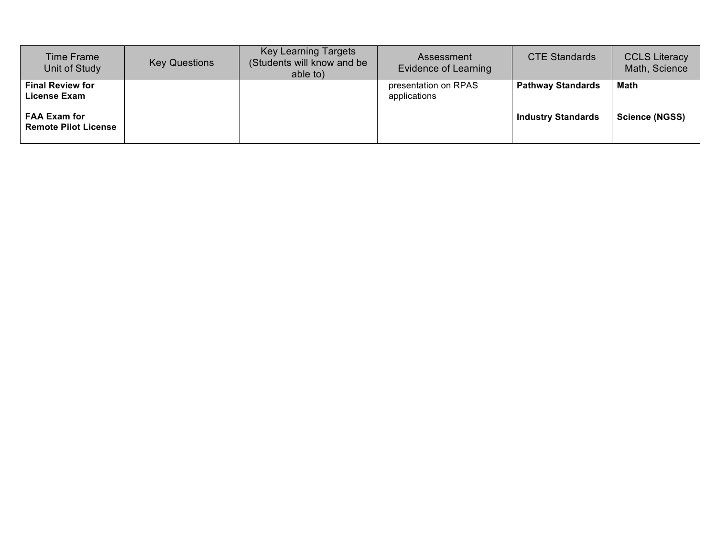| Time Frame<br>Unit of Study                        | <b>Key Questions</b> | <b>Key Learning Targets</b><br>(Students will know and be<br>able to) | Assessment<br>Evidence of Learning   | <b>CTE Standards</b>      | <b>CCLS Literacy</b><br>Math, Science |
|----------------------------------------------------|----------------------|-----------------------------------------------------------------------|--------------------------------------|---------------------------|---------------------------------------|
| <b>Final Review for</b><br><b>License Exam</b>     |                      |                                                                       | presentation on RPAS<br>applications | <b>Pathway Standards</b>  | <b>Math</b>                           |
| <b>FAA Exam for</b><br><b>Remote Pilot License</b> |                      |                                                                       |                                      | <b>Industry Standards</b> | <b>Science (NGSS)</b>                 |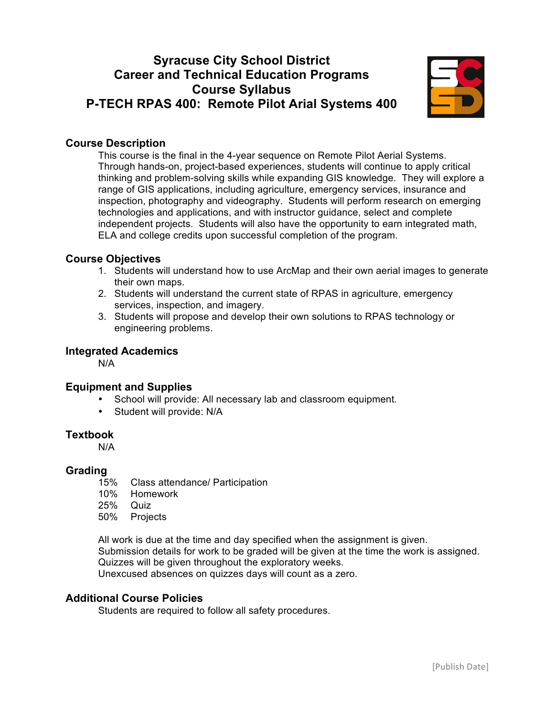# **Syracuse City School District Career and Technical Education Programs Course Syllabus P-TECH RPAS 400: Remote Pilot Arial Systems 400**



## **Course Description**

This course is the final in the 4-year sequence on Remote Pilot Aerial Systems. Through hands-on, project-based experiences, students will continue to apply critical thinking and problem-solving skills while expanding GIS knowledge. They will explore a range of GIS applications, including agriculture, emergency services, insurance and inspection, photography and videography. Students will perform research on emerging technologies and applications, and with instructor guidance, select and complete independent projects. Students will also have the opportunity to earn integrated math, ELA and college credits upon successful completion of the program.

## **Course Objectives**

- 1. Students will understand how to use ArcMap and their own aerial images to generate their own maps.
- 2. Students will understand the current state of RPAS in agriculture, emergency services, inspection, and imagery.
- 3. Students will propose and develop their own solutions to RPAS technology or engineering problems.

## **Integrated Academics**

N/A

## **Equipment and Supplies**

- School will provide: All necessary lab and classroom equipment*.*
- Student will provide: N/A

## **Textbook**

N/A

#### **Grading**

- 15% Class attendance/ Participation
- 10% Homework
- 25% Quiz
- 50% Projects

All work is due at the time and day specified when the assignment is given. Submission details for work to be graded will be given at the time the work is assigned. Quizzes will be given throughout the exploratory weeks. Unexcused absences on quizzes days will count as a zero.

#### **Additional Course Policies**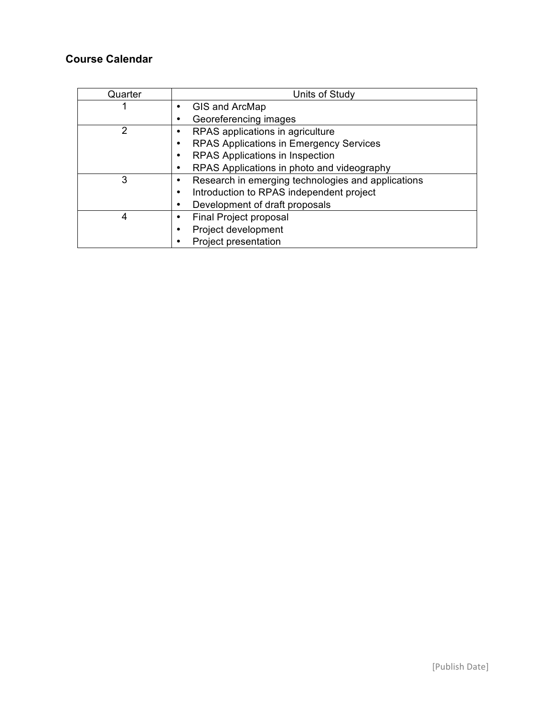| Quarter | Units of Study                                     |
|---------|----------------------------------------------------|
|         | GIS and ArcMap                                     |
|         | Georeferencing images                              |
| 2       | RPAS applications in agriculture                   |
|         | RPAS Applications in Emergency Services            |
|         | RPAS Applications in Inspection                    |
|         | RPAS Applications in photo and videography         |
| 3       | Research in emerging technologies and applications |
|         | Introduction to RPAS independent project           |
|         | Development of draft proposals                     |
| 4       | Final Project proposal                             |
|         | Project development                                |
|         | Project presentation                               |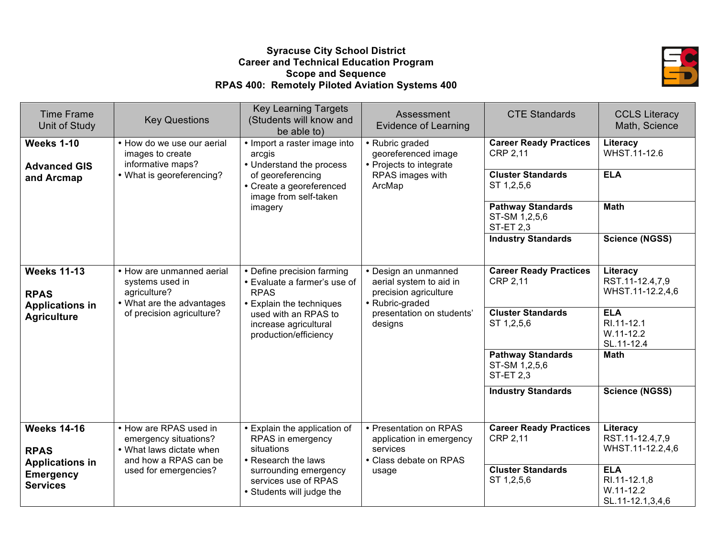## **Syracuse City School District Career and Technical Education Program Scope and Sequence RPAS 400: Remotely Piloted Aviation Systems 400**



| <b>Time Frame</b><br>Unit of Study<br><b>Weeks 1-10</b><br><b>Advanced GIS</b><br>and Arcmap       | <b>Key Questions</b><br>• How do we use our aerial<br>images to create<br>informative maps?<br>• What is georeferencing?      | <b>Key Learning Targets</b><br>(Students will know and<br>be able to)<br>• Import a raster image into<br>arcgis<br>• Understand the process<br>of georeferencing                | Assessment<br><b>Evidence of Learning</b><br>• Rubric graded<br>georeferenced image<br>• Projects to integrate<br>RPAS images with<br>ArcMap | <b>CTE Standards</b><br><b>Career Ready Practices</b><br><b>CRP 2.11</b><br><b>Cluster Standards</b><br>ST 1,2,5,6                                                                | <b>CCLS Literacy</b><br>Math, Science<br>Literacy<br>WHST.11-12.6<br><b>ELA</b>                                                                  |
|----------------------------------------------------------------------------------------------------|-------------------------------------------------------------------------------------------------------------------------------|---------------------------------------------------------------------------------------------------------------------------------------------------------------------------------|----------------------------------------------------------------------------------------------------------------------------------------------|-----------------------------------------------------------------------------------------------------------------------------------------------------------------------------------|--------------------------------------------------------------------------------------------------------------------------------------------------|
|                                                                                                    |                                                                                                                               | • Create a georeferenced<br>image from self-taken<br>imagery                                                                                                                    |                                                                                                                                              | <b>Pathway Standards</b><br>ST-SM 1,2,5,6<br><b>ST-ET 2,3</b><br><b>Industry Standards</b>                                                                                        | <b>Math</b><br><b>Science (NGSS)</b>                                                                                                             |
| <b>Weeks 11-13</b><br><b>RPAS</b><br><b>Applications in</b><br><b>Agriculture</b>                  | • How are unmanned aerial<br>systems used in<br>agriculture?<br>• What are the advantages<br>of precision agriculture?        | • Define precision farming<br>• Evaluate a farmer's use of<br><b>RPAS</b><br>• Explain the techniques<br>used with an RPAS to<br>increase agricultural<br>production/efficiency | • Design an unmanned<br>aerial system to aid in<br>precision agriculture<br>• Rubric-graded<br>presentation on students'<br>designs          | <b>Career Ready Practices</b><br>CRP 2,11<br><b>Cluster Standards</b><br>ST 1,2,5,6<br><b>Pathway Standards</b><br>ST-SM 1,2,5,6<br><b>ST-ET 2,3</b><br><b>Industry Standards</b> | Literacy<br>RST.11-12.4,7,9<br>WHST.11-12.2,4,6<br><b>ELA</b><br>RI.11-12.1<br>$W.11-12.2$<br>SL.11-12.4<br><b>Math</b><br><b>Science (NGSS)</b> |
| <b>Weeks 14-16</b><br><b>RPAS</b><br><b>Applications in</b><br><b>Emergency</b><br><b>Services</b> | • How are RPAS used in<br>emergency situations?<br>• What laws dictate when<br>and how a RPAS can be<br>used for emergencies? | • Explain the application of<br>RPAS in emergency<br>situations<br>• Research the laws<br>surrounding emergency<br>services use of RPAS<br>• Students will judge the            | • Presentation on RPAS<br>application in emergency<br>services<br>• Class debate on RPAS<br>usage                                            | <b>Career Ready Practices</b><br><b>CRP 2,11</b><br><b>Cluster Standards</b><br>ST 1,2,5,6                                                                                        | Literacy<br>RST.11-12.4,7,9<br>WHST.11-12.2,4,6<br><b>ELA</b><br>RI.11-12.1,8<br>$W.11-12.2$<br>SL.11-12.1,3,4,6                                 |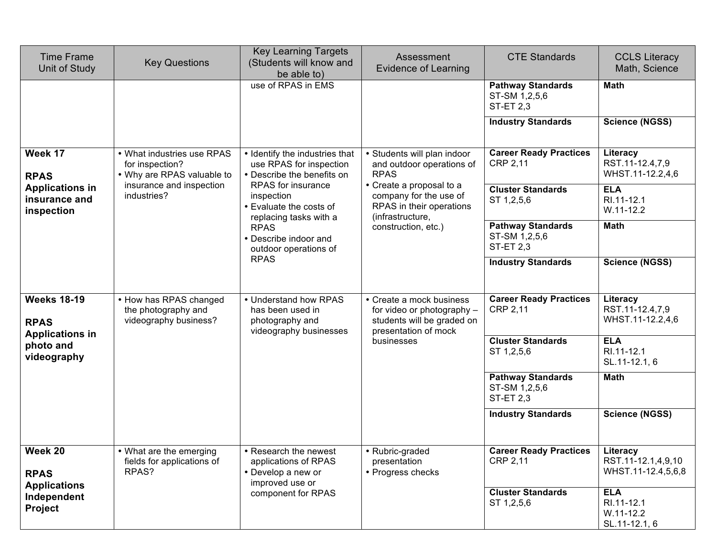| <b>Time Frame</b><br>Unit of Study                                                      | <b>Key Questions</b>                                                        | <b>Key Learning Targets</b><br>(Students will know and<br>be able to)                                                                                                 | Assessment<br><b>Evidence of Learning</b>                                                                                  | <b>CTE Standards</b>                                          | <b>CCLS Literacy</b><br>Math, Science                      |
|-----------------------------------------------------------------------------------------|-----------------------------------------------------------------------------|-----------------------------------------------------------------------------------------------------------------------------------------------------------------------|----------------------------------------------------------------------------------------------------------------------------|---------------------------------------------------------------|------------------------------------------------------------|
|                                                                                         |                                                                             | use of RPAS in EMS                                                                                                                                                    |                                                                                                                            | <b>Pathway Standards</b><br>ST-SM 1,2,5,6<br><b>ST-ET 2,3</b> | <b>Math</b>                                                |
|                                                                                         |                                                                             |                                                                                                                                                                       |                                                                                                                            | <b>Industry Standards</b>                                     | <b>Science (NGSS)</b>                                      |
| Week 17<br><b>RPAS</b>                                                                  | • What industries use RPAS<br>for inspection?<br>• Why are RPAS valuable to | • Identify the industries that<br>use RPAS for inspection<br>• Describe the benefits on                                                                               | • Students will plan indoor<br>and outdoor operations of<br><b>RPAS</b>                                                    | <b>Career Ready Practices</b><br><b>CRP 2,11</b>              | Literacy<br>RST.11-12.4,7,9<br>WHST.11-12.2,4,6            |
| <b>Applications in</b><br>insurance and<br>inspection                                   | insurance and inspection<br>industries?                                     | RPAS for insurance<br>inspection<br>• Evaluate the costs of<br>replacing tasks with a<br><b>RPAS</b><br>• Describe indoor and<br>outdoor operations of<br><b>RPAS</b> | • Create a proposal to a<br>company for the use of<br>RPAS in their operations<br>(infrastructure,<br>construction, etc.)  | <b>Cluster Standards</b><br>ST 1,2,5,6                        | <b>ELA</b><br>RI.11-12.1<br>W.11-12.2                      |
|                                                                                         |                                                                             |                                                                                                                                                                       |                                                                                                                            | <b>Pathway Standards</b><br>ST-SM 1,2,5,6<br><b>ST-ET 2,3</b> | <b>Math</b>                                                |
|                                                                                         |                                                                             |                                                                                                                                                                       |                                                                                                                            | <b>Industry Standards</b>                                     | Science (NGSS)                                             |
| <b>Weeks 18-19</b><br><b>RPAS</b><br><b>Applications in</b><br>photo and<br>videography | • How has RPAS changed<br>the photography and<br>videography business?      | • Understand how RPAS<br>has been used in<br>photography and<br>videography businesses                                                                                | • Create a mock business<br>for video or photography -<br>students will be graded on<br>presentation of mock<br>businesses | <b>Career Ready Practices</b><br>CRP 2,11                     | Literacy<br>RST.11-12.4,7,9<br>WHST.11-12.2,4,6            |
|                                                                                         |                                                                             |                                                                                                                                                                       |                                                                                                                            | <b>Cluster Standards</b><br>ST 1,2,5,6                        | <b>ELA</b><br>RI.11-12.1<br>SL.11-12.1, 6                  |
|                                                                                         |                                                                             |                                                                                                                                                                       |                                                                                                                            | <b>Pathway Standards</b><br>ST-SM 1,2,5,6<br><b>ST-ET 2,3</b> | <b>Math</b>                                                |
|                                                                                         |                                                                             |                                                                                                                                                                       |                                                                                                                            | <b>Industry Standards</b>                                     | <b>Science (NGSS)</b>                                      |
| Week 20<br><b>RPAS</b>                                                                  | • What are the emerging<br>fields for applications of<br>RPAS?              | • Research the newest<br>applications of RPAS<br>• Develop a new or<br>improved use or                                                                                | • Rubric-graded<br>presentation<br>• Progress checks                                                                       | <b>Career Ready Practices</b><br><b>CRP 2,11</b>              | Literacy<br>RST.11-12.1,4,9,10<br>WHST.11-12.4,5,6,8       |
| <b>Applications</b><br>Independent<br><b>Project</b>                                    |                                                                             | component for RPAS                                                                                                                                                    |                                                                                                                            | <b>Cluster Standards</b><br>ST 1,2,5,6                        | <b>ELA</b><br>RI.11-12.1<br>$W.11 - 12.2$<br>SL.11-12.1, 6 |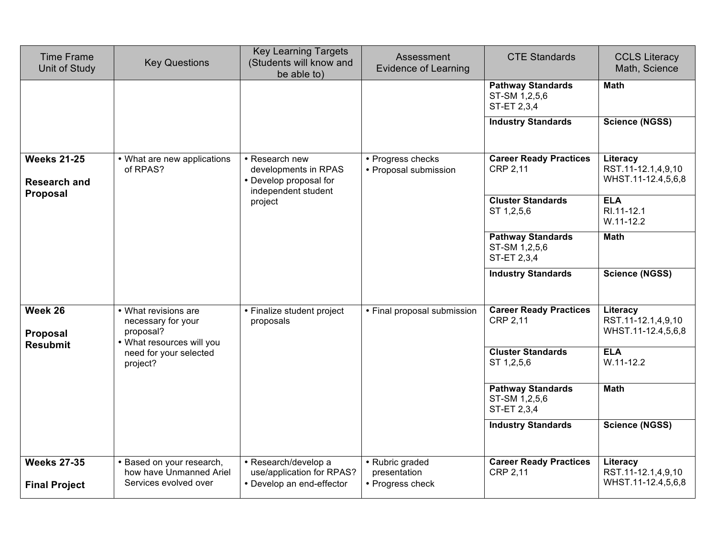| <b>Time Frame</b><br>Unit of Study                    | <b>Key Questions</b>                                                                 | <b>Key Learning Targets</b><br>(Students will know and<br>be able to)                   | Assessment<br><b>Evidence of Learning</b>           | <b>CTE Standards</b>                                     | <b>CCLS Literacy</b><br>Math, Science                |
|-------------------------------------------------------|--------------------------------------------------------------------------------------|-----------------------------------------------------------------------------------------|-----------------------------------------------------|----------------------------------------------------------|------------------------------------------------------|
|                                                       |                                                                                      |                                                                                         |                                                     | <b>Pathway Standards</b><br>ST-SM 1,2,5,6<br>ST-ET 2,3,4 | <b>Math</b>                                          |
|                                                       |                                                                                      |                                                                                         |                                                     | <b>Industry Standards</b>                                | <b>Science (NGSS)</b>                                |
| <b>Weeks 21-25</b><br><b>Research and</b><br>Proposal | • What are new applications<br>of RPAS?                                              | • Research new<br>developments in RPAS<br>• Develop proposal for<br>independent student | • Progress checks<br>• Proposal submission          | <b>Career Ready Practices</b><br>CRP 2,11                | Literacy<br>RST.11-12.1,4,9,10<br>WHST.11-12.4,5,6,8 |
|                                                       |                                                                                      | project                                                                                 | ST 1,2,5,6<br>ST-SM 1,2,5,6<br>ST-ET 2,3,4          | <b>Cluster Standards</b>                                 | <b>ELA</b><br>RI.11-12.1<br>$W.11 - 12.2$            |
|                                                       |                                                                                      |                                                                                         |                                                     | <b>Pathway Standards</b>                                 | <b>Math</b>                                          |
|                                                       |                                                                                      |                                                                                         |                                                     | <b>Industry Standards</b>                                | <b>Science (NGSS)</b>                                |
| Week 26<br>Proposal                                   | • What revisions are<br>necessary for your<br>proposal?<br>• What resources will you | • Finalize student project<br>proposals                                                 | • Final proposal submission                         | <b>Career Ready Practices</b><br><b>CRP 2,11</b>         | Literacy<br>RST.11-12.1,4,9,10<br>WHST.11-12.4,5,6,8 |
| <b>Resubmit</b>                                       | need for your selected<br>project?                                                   |                                                                                         |                                                     | <b>Cluster Standards</b><br>ST 1,2,5,6                   | <b>ELA</b><br>$W.11 - 12.2$                          |
|                                                       |                                                                                      |                                                                                         |                                                     | <b>Pathway Standards</b><br>ST-SM 1,2,5,6<br>ST-ET 2,3,4 | <b>Math</b>                                          |
|                                                       |                                                                                      |                                                                                         |                                                     | <b>Industry Standards</b>                                | <b>Science (NGSS)</b>                                |
| <b>Weeks 27-35</b><br><b>Final Project</b>            | • Based on your research,<br>how have Unmanned Ariel<br>Services evolved over        | • Research/develop a<br>use/application for RPAS?<br>• Develop an end-effector          | • Rubric graded<br>presentation<br>• Progress check | <b>Career Ready Practices</b><br>CRP 2,11                | Literacy<br>RST.11-12.1,4,9,10<br>WHST.11-12.4,5,6,8 |